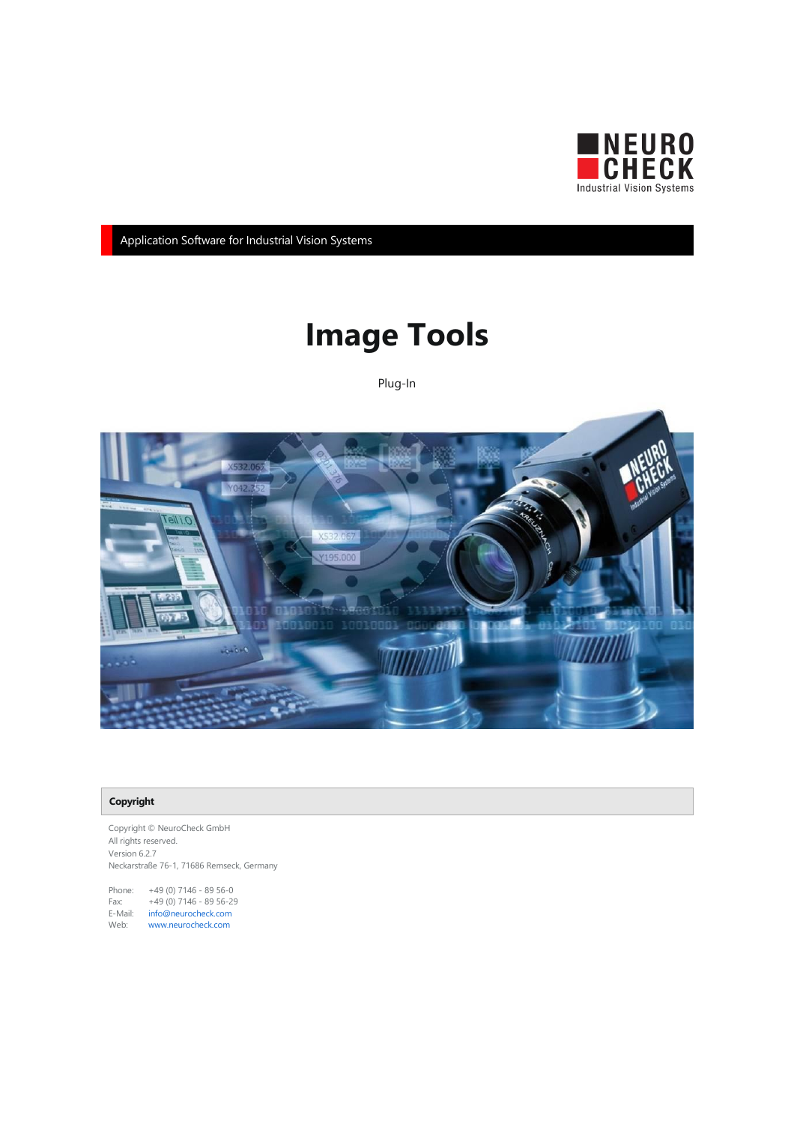

Application Software for Industrial Vision Systems

# Image Tools

Plug-In



#### Copyright

Copyright © NeuroCheck GmbH All rights reserved. Version 6.2.7 Neckarstraße 76-1, 71686 Remseck, Germany

Phone: +49 (0) 7146 - 89 56-0 Fax: +49 (0) 7146 - 89 56-29 E-Mail: [info@neurocheck.com](mailto:info@neurocheck.com) Web: [www.neurocheck.com](https://www.neurocheck.com)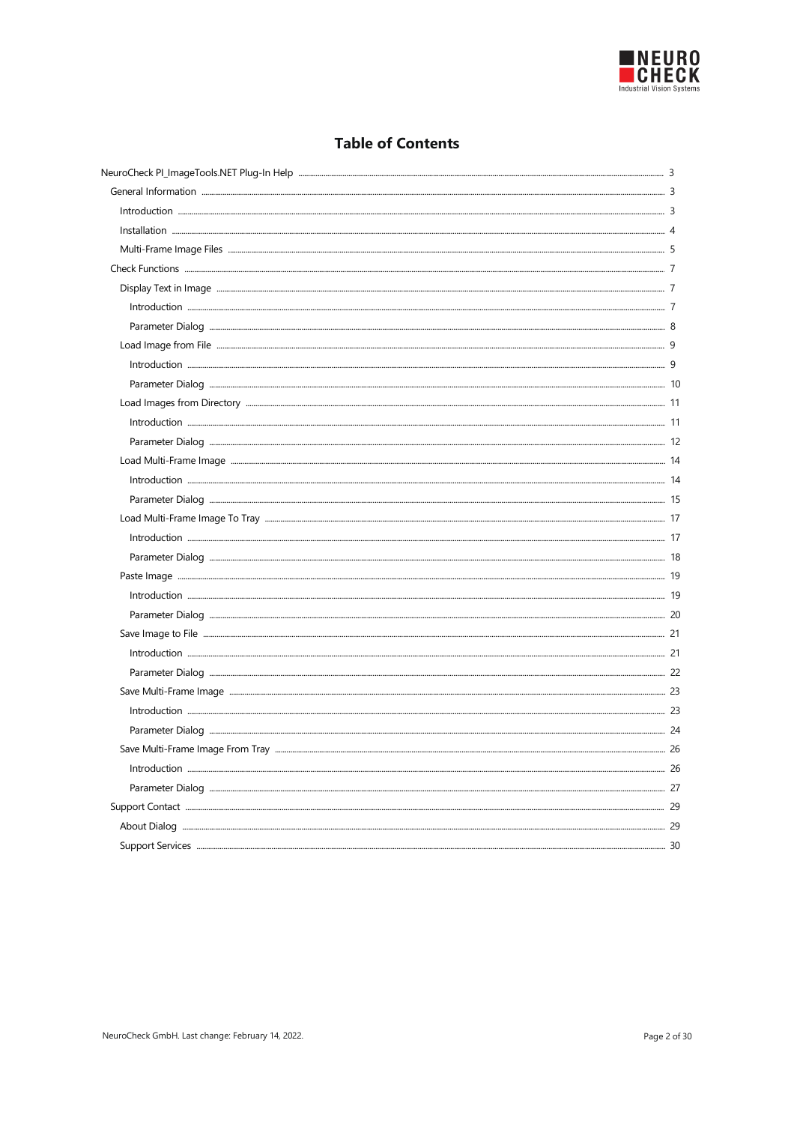

# **Table of Contents**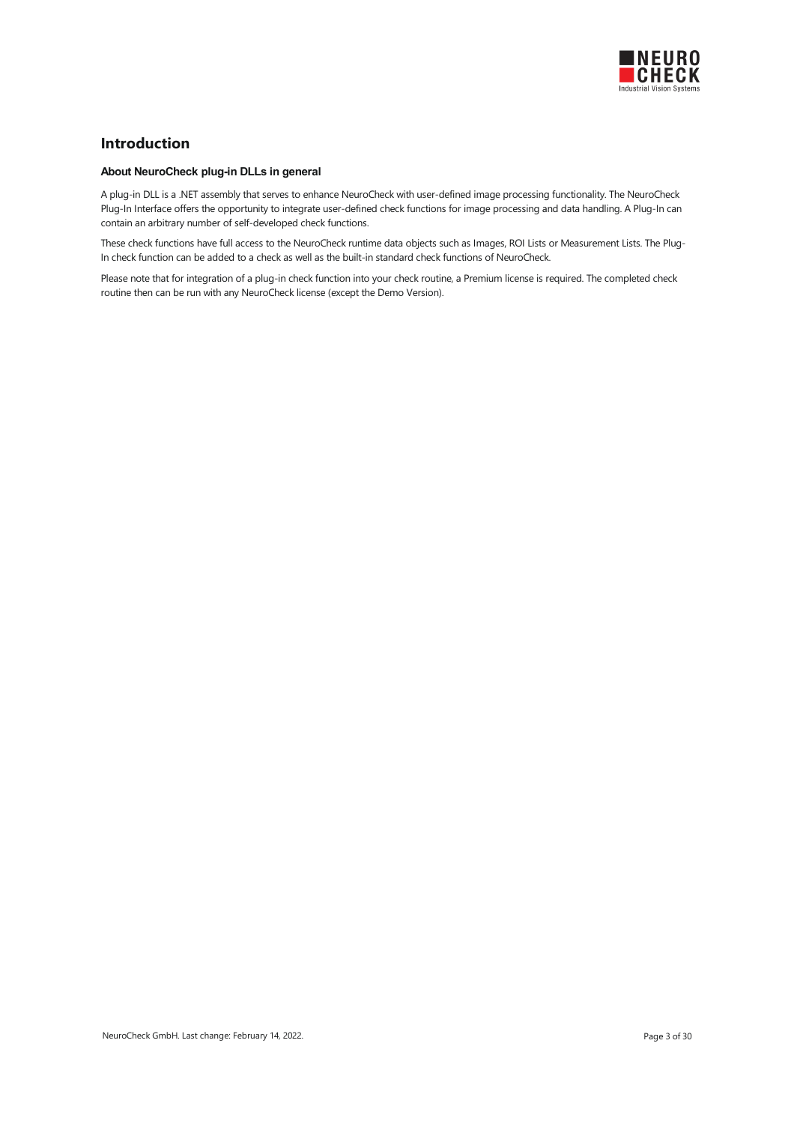

### <span id="page-2-0"></span>Introduction

#### About NeuroCheck plug-in DLLs in general

A plug-in DLL is a .NET assembly that serves to enhance NeuroCheck with user-defined image processing functionality. The NeuroCheck Plug-In Interface offers the opportunity to integrate user-defined check functions for image processing and data handling. A Plug-In can contain an arbitrary number of self-developed check functions.

These check functions have full access to the NeuroCheck runtime data objects such as Images, ROI Lists or Measurement Lists. The Plug-In check function can be added to a check as well as the built-in standard check functions of NeuroCheck.

Please note that for integration of a plug-in check function into your check routine, a Premium license is required. The completed check routine then can be run with any NeuroCheck license (except the Demo Version).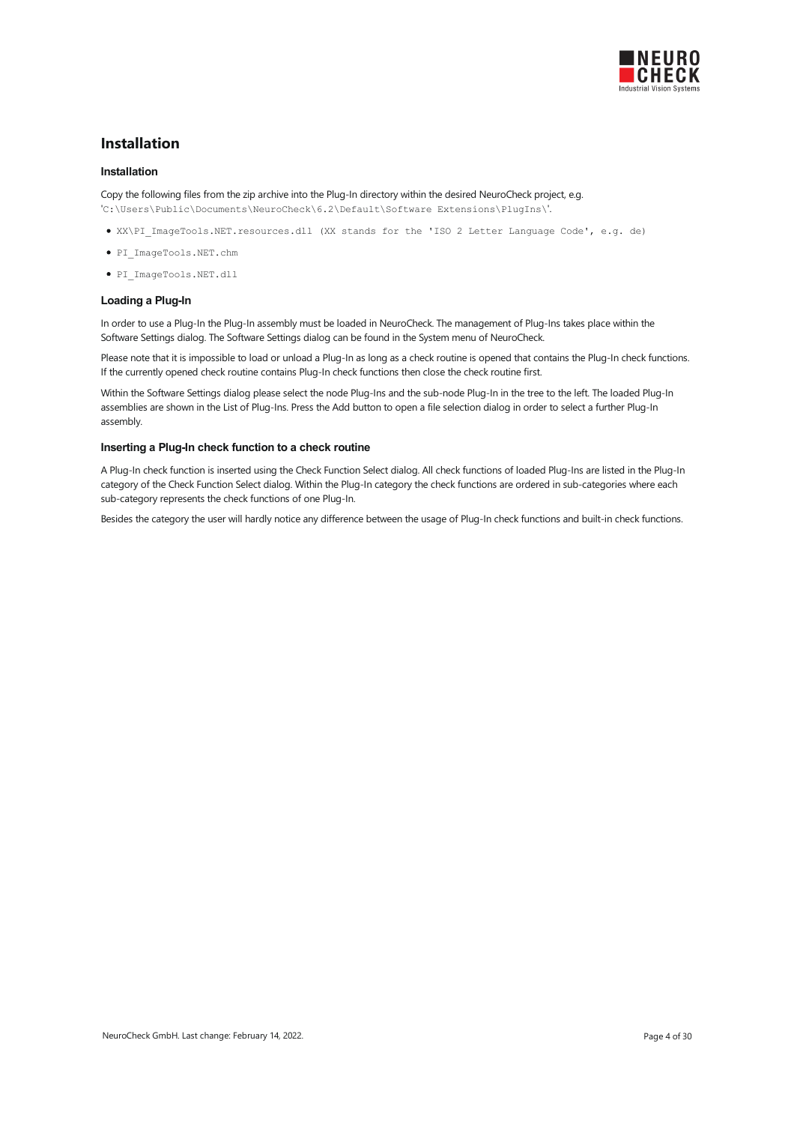

### <span id="page-3-0"></span>Installation

#### Installation

Copy the following files from the zip archive into the Plug-In directory within the desired NeuroCheck project, e.g. 'C:\Users\Public\Documents\NeuroCheck\6.2\Default\Software Extensions\PlugIns\'.

XX\PI\_ImageTools.NET.resources.dll (XX stands for the 'ISO 2 Letter Language Code', e.g. de)

- PI\_ImageTools.NET.chm
- PI\_ImageTools.NET.dll

#### Loading a Plug-In

In order to use a Plug-In the Plug-In assembly must be loaded in NeuroCheck. The management of Plug-Ins takes place within the Software Settings dialog. The Software Settings dialog can be found in the System menu of NeuroCheck.

Please note that it is impossible to load or unload a Plug-In as long as a check routine is opened that contains the Plug-In check functions. If the currently opened check routine contains Plug-In check functions then close the check routine first.

Within the Software Settings dialog please select the node Plug-Ins and the sub-node Plug-In in the tree to the left. The loaded Plug-In assemblies are shown in the List of Plug-Ins. Press the Add button to open a file selection dialog in order to select a further Plug-In assembly.

#### Inserting a Plug-In check function to a check routine

A Plug-In check function is inserted using the Check Function Select dialog. All check functions of loaded Plug-Ins are listed in the Plug-In category of the Check Function Select dialog. Within the Plug-In category the check functions are ordered in sub-categories where each sub-category represents the check functions of one Plug-In.

Besides the category the user will hardly notice any difference between the usage of Plug-In check functions and built-in check functions.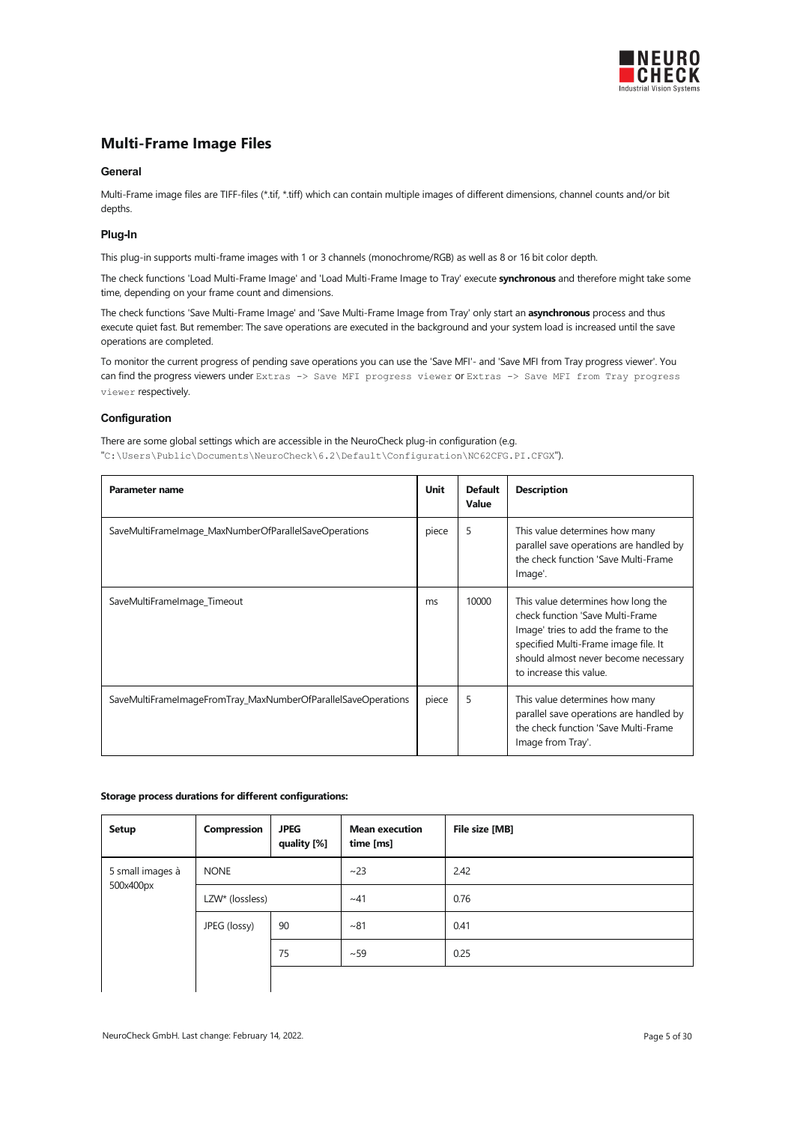

### <span id="page-4-0"></span>Multi-Frame Image Files

#### **General**

Multi-Frame image files are TIFF-files (\*.tif, \*.tiff) which can contain multiple images of different dimensions, channel counts and/or bit depths.

#### Plug-In

This plug-in supports multi-frame images with 1 or 3 channels (monochrome/RGB) as well as 8 or 16 bit color depth.

The check functions 'Load Multi-Frame Image' and 'Load Multi-Frame Image to Tray' execute synchronous and therefore might take some time, depending on your frame count and dimensions.

The check functions 'Save Multi-Frame Image' and 'Save Multi-Frame Image from Tray' only start an asynchronous process and thus execute quiet fast. But remember: The save operations are executed in the background and your system load is increased until the save operations are completed.

To monitor the current progress of pending save operations you can use the 'Save MFI'- and 'Save MFI from Tray progress viewer'. You can find the progress viewers under Extras -> Save MFI progress viewer or Extras -> Save MFI from Tray progress viewer respectively.

#### **Configuration**

There are some global settings which are accessible in the NeuroCheck plug-in configuration (e.g. "C:\Users\Public\Documents\NeuroCheck\6.2\Default\Configuration\NC62CFG.PI.CFGX").

| <b>Parameter name</b>                                         | Unit  | <b>Default</b><br>Value | <b>Description</b>                                                                                                                                                                                                        |
|---------------------------------------------------------------|-------|-------------------------|---------------------------------------------------------------------------------------------------------------------------------------------------------------------------------------------------------------------------|
| SaveMultiFrameImage_MaxNumberOfParallelSaveOperations         | piece | 5                       | This value determines how many<br>parallel save operations are handled by<br>the check function 'Save Multi-Frame<br>Image'.                                                                                              |
| SaveMultiFrameImage_Timeout                                   | ms    | 10000                   | This value determines how long the<br>check function 'Save Multi-Frame<br>Image' tries to add the frame to the<br>specified Multi-Frame image file. It<br>should almost never become necessary<br>to increase this value. |
| SaveMultiFrameImageFromTray_MaxNumberOfParallelSaveOperations | piece | 5                       | This value determines how many<br>parallel save operations are handled by<br>the check function 'Save Multi-Frame<br>Image from Tray'.                                                                                    |

#### <span id="page-4-1"></span>Storage process durations for different configurations:

| <b>Setup</b>     | Compression                 | <b>JPEG</b><br>quality [%] | <b>Mean execution</b><br>time [ms] | File size [MB] |
|------------------|-----------------------------|----------------------------|------------------------------------|----------------|
| 5 small images à | <b>NONE</b>                 |                            | ~23                                | 2.42           |
| 500x400px        | LZW <sup>*</sup> (lossless) |                            | ~1                                 | 0.76           |
|                  | JPEG (lossy)                | 90                         | $~1$ ~81                           | 0.41           |
|                  | 75                          |                            | ~59                                | 0.25           |
|                  |                             |                            |                                    |                |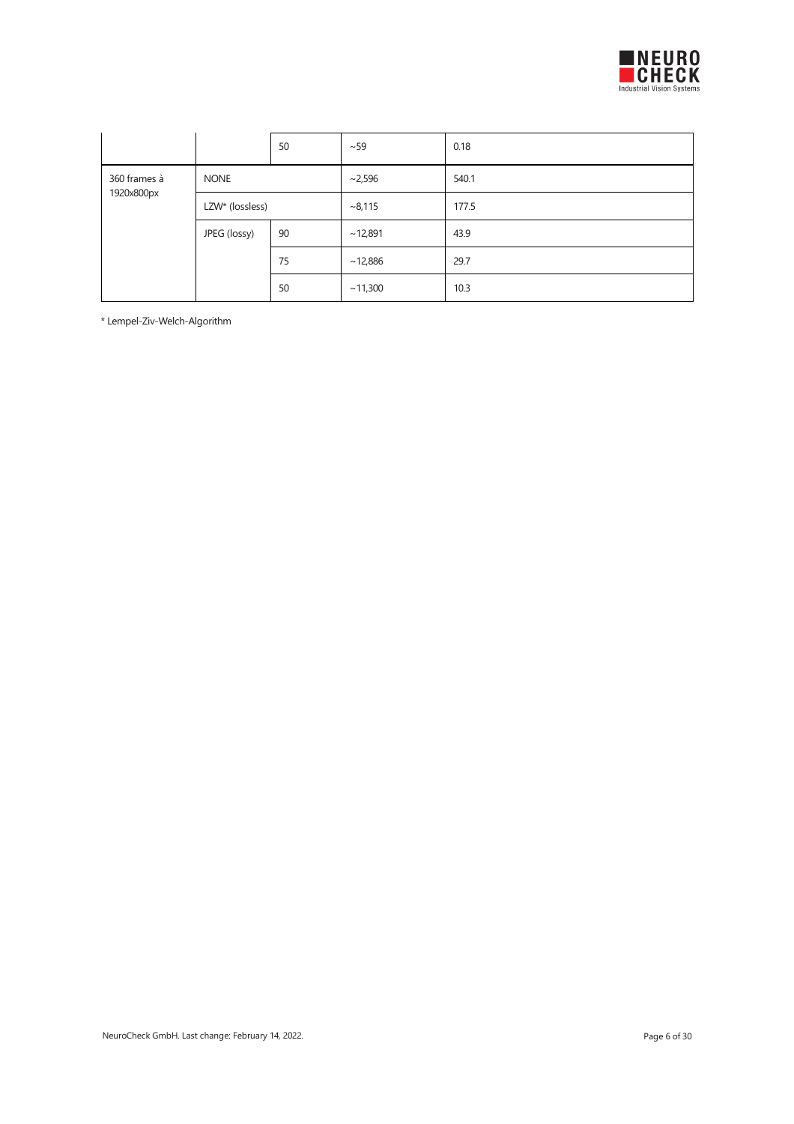

|              |                             | 50 | ~59     | 0.18  |
|--------------|-----------------------------|----|---------|-------|
| 360 frames à | <b>NONE</b>                 |    | ~2,596  | 540.1 |
| 1920x800px   | LZW <sup>*</sup> (lossless) |    | ~8,115  | 177.5 |
|              | JPEG (lossy)                | 90 | ~12,891 | 43.9  |
|              |                             | 75 | ~12,886 | 29.7  |
|              |                             | 50 | ~11,300 | 10.3  |

\*Lempel-Ziv-Welch-Algorithm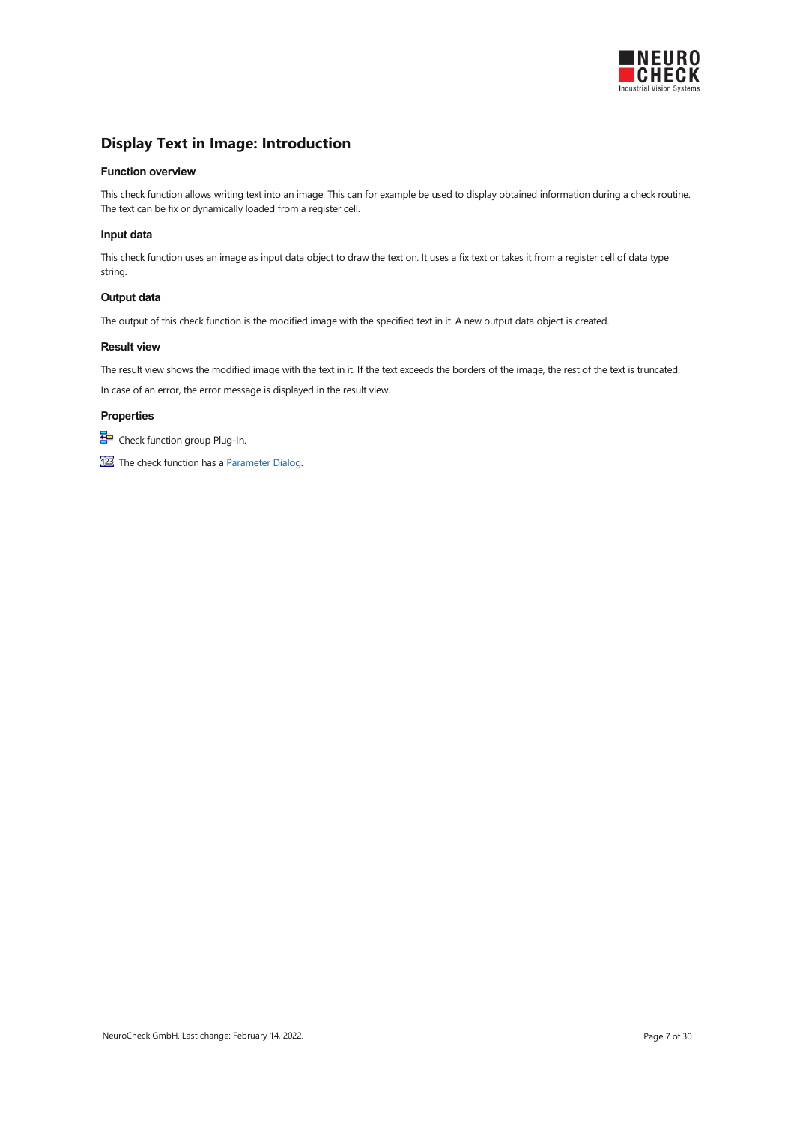

### <span id="page-6-0"></span>Display Text in Image: Introduction

#### Function overview

This check function allows writing text into an image. This can for example be used to display obtained information during a check routine. The text can be fix or dynamically loaded from a register cell.

#### Input data

This check function uses an image as input data object to draw the text on. It uses a fix text or takes it from a register cell of data type string.

#### Output data

The output of this check function is the modified image with the specified text in it. A new output data object is created.

#### Result view

The result view shows the modified image with the text in it. If the text exceeds the borders of the image, the rest of the text is truncated. In case of an error, the error message is displayed in the result view.

#### **Properties**

Check function group Plug-In.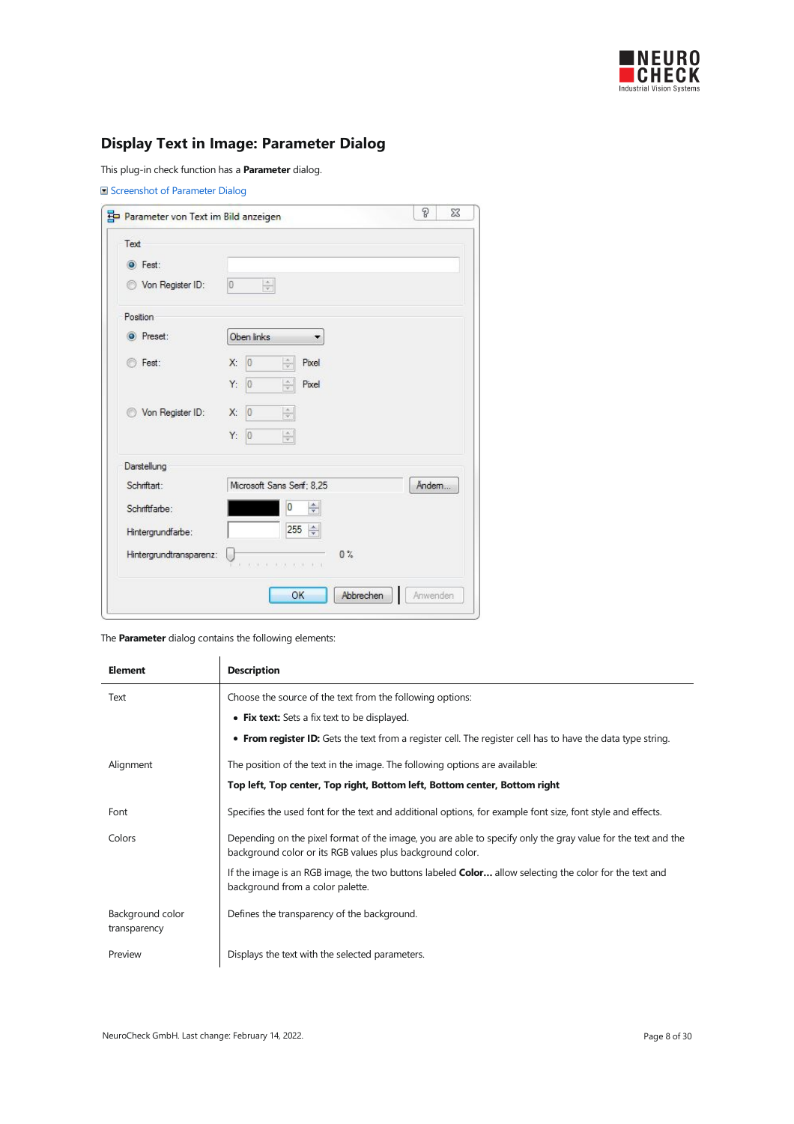

# <span id="page-7-0"></span>Display Text in Image: Parameter Dialog

This plug-in check function has a **Parameter** dialog.

|  |  | Screenshot of Parameter Dialog |  |
|--|--|--------------------------------|--|
|--|--|--------------------------------|--|

| Text                    |                                                        |       |
|-------------------------|--------------------------------------------------------|-------|
| <b>O</b> Fest:          |                                                        |       |
| Von Register ID:<br>0   | $\frac{\Lambda}{T}$<br>$\overline{0}$                  |       |
| Position                |                                                        |       |
| O Preset:               | Oben links<br>▼                                        |       |
| ◯ Fest:                 | $\vert 0 \vert$<br>$\frac{1}{\sqrt{2}}$<br>Х:<br>Pixel |       |
|                         | $ 0\rangle$<br>Y:<br>$\frac{\Lambda}{\Psi}$<br>Pixel   |       |
| Von Register ID:<br>@   | $\frac{\lambda}{\lambda}$<br> 0 <br>X:                 |       |
|                         | $\frac{\Lambda}{\Psi}$<br>Y.<br>$ 0\rangle$            |       |
| Darstellung             |                                                        |       |
| Schriftart:             | Microsoft Sans Serif: 8.25                             | Ändem |
| Schriftfarbe:           | $\div$<br>0                                            |       |
| Hintergrundfarbe:       | 255<br>$\div$                                          |       |
| Hintergrundtransparenz: | $0\%$                                                  |       |
|                         |                                                        |       |

| <b>Element</b>                   | <b>Description</b>                                                                                                                                                        |
|----------------------------------|---------------------------------------------------------------------------------------------------------------------------------------------------------------------------|
| Text                             | Choose the source of the text from the following options:                                                                                                                 |
|                                  | • Fix text: Sets a fix text to be displayed.                                                                                                                              |
|                                  | • From register ID: Gets the text from a register cell. The register cell has to have the data type string.                                                               |
| Alignment                        | The position of the text in the image. The following options are available:                                                                                               |
|                                  | Top left, Top center, Top right, Bottom left, Bottom center, Bottom right                                                                                                 |
| Font                             | Specifies the used font for the text and additional options, for example font size, font style and effects.                                                               |
| Colors                           | Depending on the pixel format of the image, you are able to specify only the gray value for the text and the<br>background color or its RGB values plus background color. |
|                                  | If the image is an RGB image, the two buttons labeled <b>Color</b> allow selecting the color for the text and<br>background from a color palette.                         |
| Background color<br>transparency | Defines the transparency of the background.                                                                                                                               |
| Preview                          | Displays the text with the selected parameters.                                                                                                                           |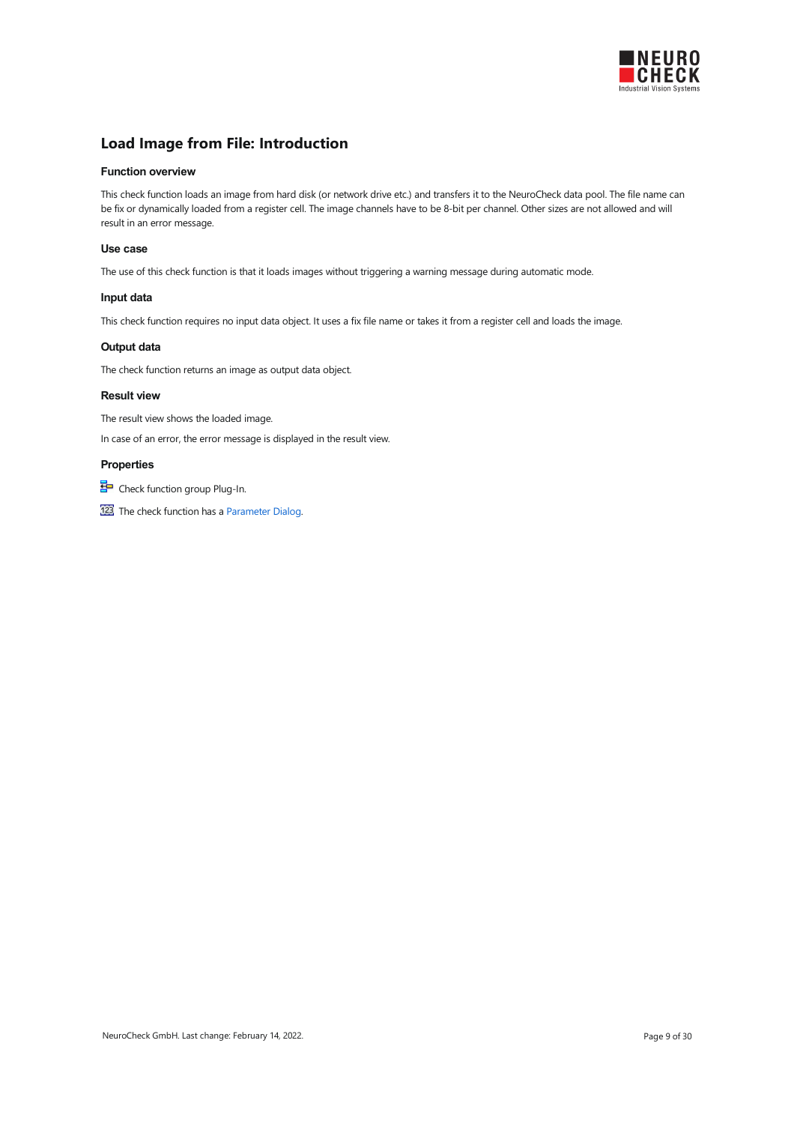

### <span id="page-8-0"></span>Load Image from File: Introduction

#### Function overview

This check function loads an image from hard disk (or network drive etc.) and transfers it to the NeuroCheck data pool. The file name can be fix or dynamically loaded from a register cell. The image channels have to be 8-bit per channel. Other sizes are not allowed and will result in an error message.

#### Use case

The use of this check function is that it loads images without triggering a warning message during automatic mode.

#### Input data

This check function requires no input data object. It uses a fix file name or takes it from a register cell and loads the image.

#### Output data

The check function returns an image as output data object.

#### Result view

The result view shows the loaded image.

In case of an error, the error message is displayed in the result view.

#### Properties

Check function group Plug-In.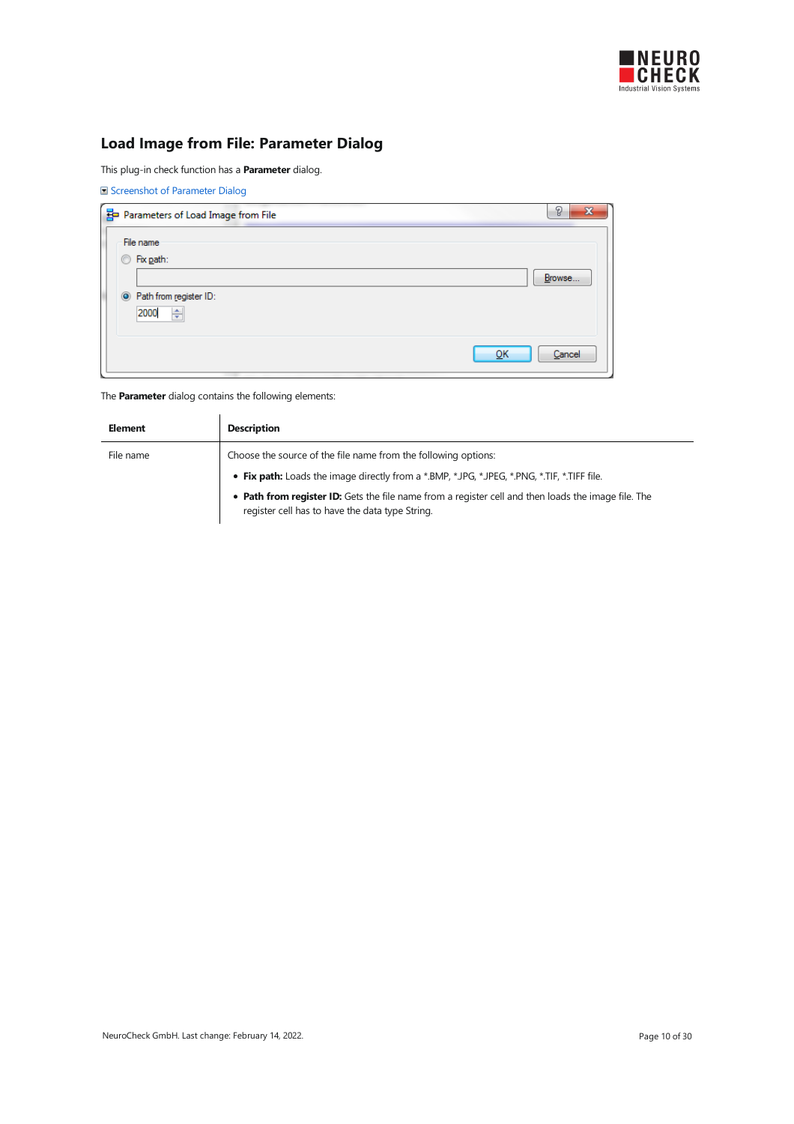

# <span id="page-9-0"></span>Load Image from File: Parameter Dialog

This plug-in check function has a **Parameter** dialog.

|  |  | Screenshot of Parameter Dialog |  |
|--|--|--------------------------------|--|
|--|--|--------------------------------|--|

|                | Parameters of Load Image from File  | P<br>$\mathbf{x}$ |
|----------------|-------------------------------------|-------------------|
|                | File name                           |                   |
| $\circledcirc$ | Fix path:                           |                   |
|                |                                     | Browse            |
|                | <sup>O</sup> Path from register ID: |                   |
|                | ÷<br>2000                           |                   |
|                |                                     |                   |
|                | QK                                  | Cancel            |
|                |                                     |                   |

| <b>Element</b> | <b>Description</b>                                                                                                                                     |
|----------------|--------------------------------------------------------------------------------------------------------------------------------------------------------|
| File name      | Choose the source of the file name from the following options:                                                                                         |
|                | . Fix path: Loads the image directly from a *.BMP, *.JPG, *.JPEG, *.PNG, *.TIF, *.TIFF file.                                                           |
|                | • Path from register ID: Gets the file name from a register cell and then loads the image file. The<br>register cell has to have the data type String. |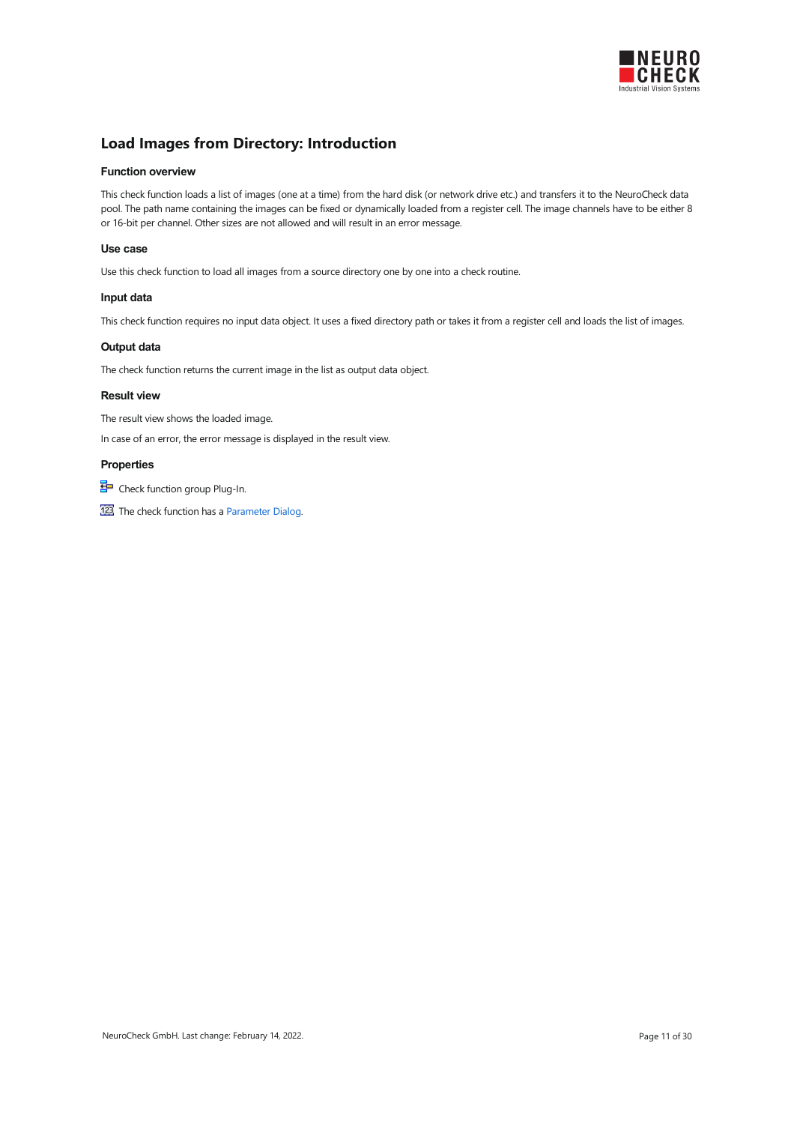

### <span id="page-10-0"></span>Load Images from Directory: Introduction

#### Function overview

This check function loads a list of images (one at a time) from the hard disk (or network drive etc.) and transfers it to the NeuroCheck data pool. The path name containing the images can be fixed or dynamically loaded from a register cell. The image channels have to be either 8 or 16-bit per channel. Other sizes are not allowed and will result in an error message.

#### Use case

Use this check function to load all images from a source directory one by one into a check routine.

#### Input data

This check function requires no input data object. It uses a fixed directory path or takes it from a register cell and loads the list of images.

#### Output data

The check function returns the current image in the list as output data object.

#### Result view

The result view shows the loaded image.

In case of an error, the error message is displayed in the result view.

#### Properties

Check function group Plug-In.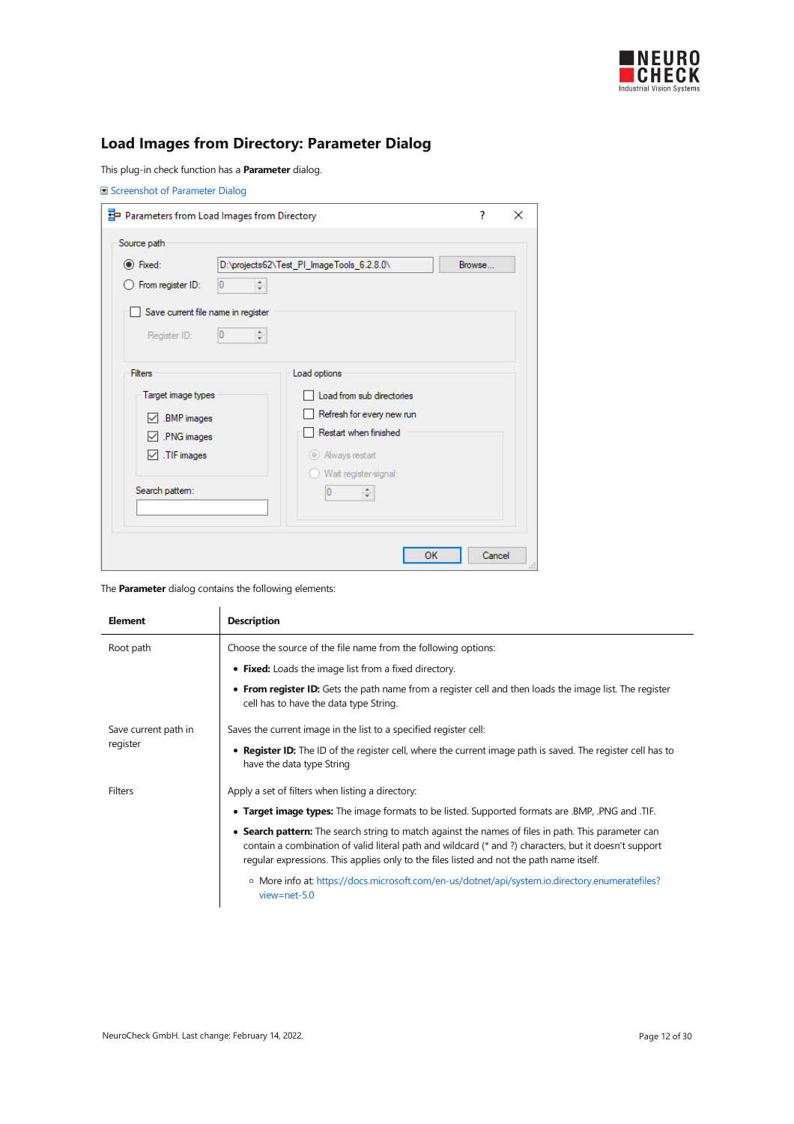

# <span id="page-11-0"></span>Load Images from Directory: Parameter Dialog

This plug-in check function has a **Parameter** dialog.

|                                    | 품 Parameters from Load Images from Directory |        |
|------------------------------------|----------------------------------------------|--------|
| Source path                        |                                              |        |
| ◉ Fixed:                           | D:\projects62\Test_PI_ImageTools_6.2.8.0\    | Browse |
| From register ID:                  | $\div$<br>0                                  |        |
| Save current file name in register |                                              |        |
|                                    |                                              |        |
| Register ID:                       | 0                                            |        |
|                                    |                                              |        |
| <b>Filters</b>                     | Load options                                 |        |
| Target image types                 | Load from sub directories                    |        |
| .BMP images                        | Refresh for every new run                    |        |
| .PNG images<br>◡                   | Restart when finished                        |        |
| .TIF images<br>⋈                   | Always restart                               |        |
|                                    | Wait register-signal:                        |        |
| Search pattern:                    | ÷                                            |        |
|                                    |                                              |        |
|                                    |                                              |        |

| <b>Element</b>       | <b>Description</b>                                                                                                                                                                                                                                                                                       |
|----------------------|----------------------------------------------------------------------------------------------------------------------------------------------------------------------------------------------------------------------------------------------------------------------------------------------------------|
| Root path            | Choose the source of the file name from the following options:                                                                                                                                                                                                                                           |
|                      | • Fixed: Loads the image list from a fixed directory.                                                                                                                                                                                                                                                    |
|                      | • From register ID: Gets the path name from a register cell and then loads the image list. The register<br>cell has to have the data type String.                                                                                                                                                        |
| Save current path in | Saves the current image in the list to a specified register cell:                                                                                                                                                                                                                                        |
| register             | • Register ID: The ID of the register cell, where the current image path is saved. The register cell has to<br>have the data type String                                                                                                                                                                 |
| <b>Filters</b>       | Apply a set of filters when listing a directory:                                                                                                                                                                                                                                                         |
|                      | • Target image types: The image formats to be listed. Supported formats are .BMP, .PNG and .TIF.                                                                                                                                                                                                         |
|                      | • Search pattern: The search string to match against the names of files in path. This parameter can<br>contain a combination of valid literal path and wildcard (* and ?) characters, but it doesn't support<br>regular expressions. This applies only to the files listed and not the path name itself. |
|                      | o More info at: https://docs.microsoft.com/en-us/dotnet/api/system.io.directory.enumeratefiles?<br>$view = net - 5.0$                                                                                                                                                                                    |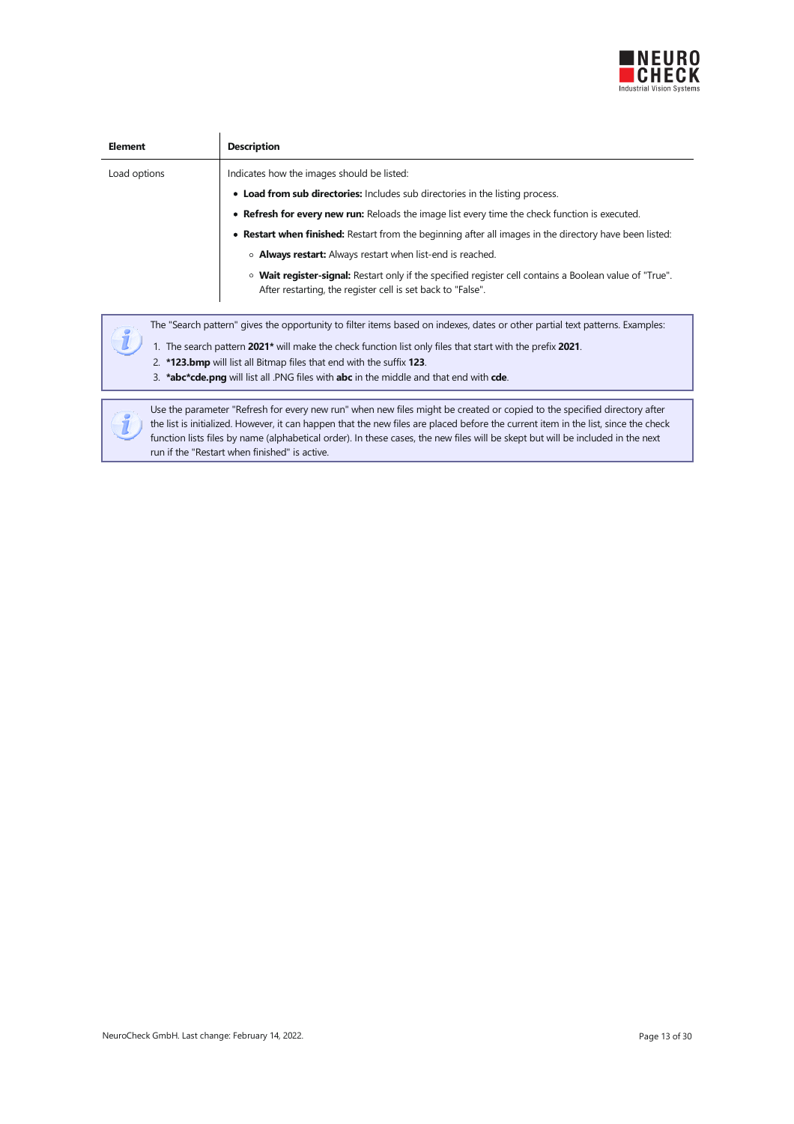

| <b>Element</b> | <b>Description</b>                                                                                                                                                                                                                                                                                                                                                                                                                                 |
|----------------|----------------------------------------------------------------------------------------------------------------------------------------------------------------------------------------------------------------------------------------------------------------------------------------------------------------------------------------------------------------------------------------------------------------------------------------------------|
| Load options   | Indicates how the images should be listed:                                                                                                                                                                                                                                                                                                                                                                                                         |
|                | • Load from sub directories: Includes sub directories in the listing process.                                                                                                                                                                                                                                                                                                                                                                      |
|                | • Refresh for every new run: Reloads the image list every time the check function is executed.                                                                                                                                                                                                                                                                                                                                                     |
|                | • Restart when finished: Restart from the beginning after all images in the directory have been listed:                                                                                                                                                                                                                                                                                                                                            |
|                | • <b>Always restart:</b> Always restart when list-end is reached.                                                                                                                                                                                                                                                                                                                                                                                  |
|                | $\circ$ Wait register-signal: Restart only if the specified register cell contains a Boolean value of "True".<br>After restarting, the register cell is set back to "False".                                                                                                                                                                                                                                                                       |
|                | The "Search pattern" gives the opportunity to filter items based on indexes, dates or other partial text patterns. Examples:<br>1. The search pattern 2021* will make the check function list only files that start with the prefix 2021.<br>2. *123.bmp will list all Bitmap files that end with the suffix 123.<br>3. <b>*abc*cde.png</b> will list all .PNG files with <b>abc</b> in the middle and that end with <b>cde</b> .                  |
|                |                                                                                                                                                                                                                                                                                                                                                                                                                                                    |
|                | Use the parameter "Refresh for every new run" when new files might be created or copied to the specified directory after<br>the list is initialized. However, it can happen that the new files are placed before the current item in the list, since the check<br>function lists files by name (alphabetical order). In these cases, the new files will be skept but will be included in the next<br>run if the "Restart when finished" is active. |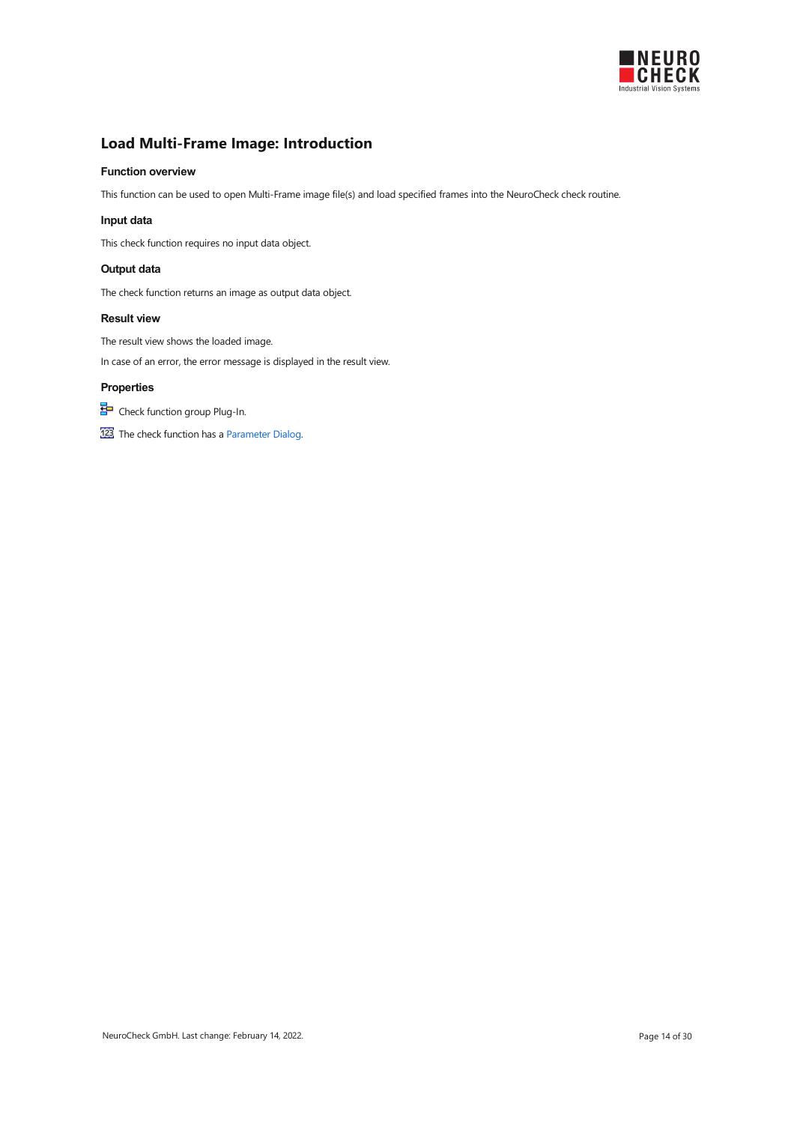

# <span id="page-13-0"></span>Load Multi-Frame Image: Introduction

#### Function overview

This function can be used to open Multi-Frame image file(s) and load specified frames into the NeuroCheck check routine.

#### Input data

This check function requires no input data object.

#### Output data

The check function returns an image as output data object.

#### Result view

The result view shows the loaded image.

In case of an error, the error message is displayed in the result view.

### Properties

Check function group Plug-In.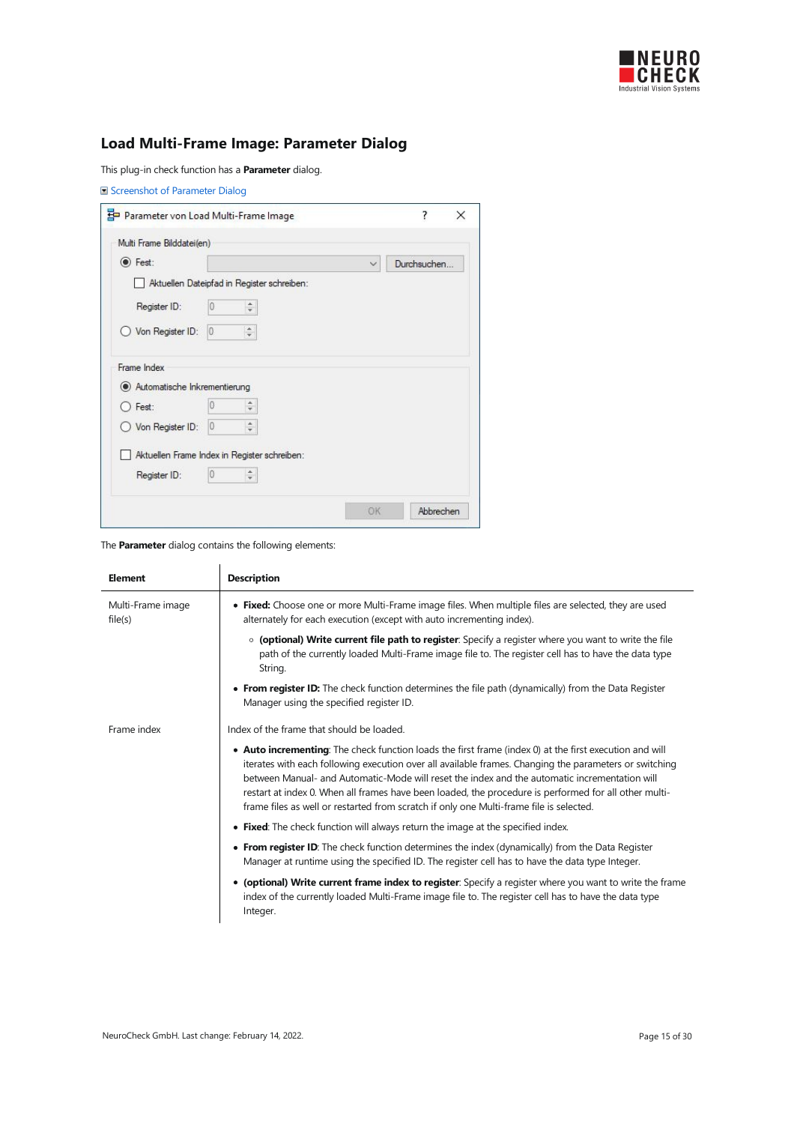

# <span id="page-14-0"></span>Load Multi-Frame Image: Parameter Dialog

This plug-in check function has a **Parameter** dialog.

|                                             | Parameter von Load Multi-Frame Image         | 7<br>$\times$ |
|---------------------------------------------|----------------------------------------------|---------------|
| Multi Frame Bilddatei(en)                   |                                              |               |
| <b>●</b> Fest:                              |                                              | Durchsuchen   |
|                                             | Aktuellen Dateipfad in Register schreiben:   |               |
| Register ID:                                | Ψ                                            |               |
| Von Register ID:                            | $\hat{=}$<br>$ 0\rangle$                     |               |
| Frame Index<br>Automatische Inkrementierung |                                              |               |
| $\bigcap$ Fest:                             | $\hat{\div}$                                 |               |
| Von Register ID:                            | ۸<br>0<br>÷                                  |               |
|                                             | Aktuellen Frame Index in Register schreiben: |               |
| Register ID:                                | ÷                                            |               |
|                                             |                                              |               |

| <b>Element</b>               | <b>Description</b>                                                                                                                                                                                                                                                                                                                                                                                                                                                                                                     |
|------------------------------|------------------------------------------------------------------------------------------------------------------------------------------------------------------------------------------------------------------------------------------------------------------------------------------------------------------------------------------------------------------------------------------------------------------------------------------------------------------------------------------------------------------------|
| Multi-Frame image<br>file(s) | • Fixed: Choose one or more Multi-Frame image files. When multiple files are selected, they are used<br>alternately for each execution (except with auto incrementing index).                                                                                                                                                                                                                                                                                                                                          |
|                              | ○ (optional) Write current file path to register: Specify a register where you want to write the file<br>path of the currently loaded Multi-Frame image file to. The register cell has to have the data type<br>String.                                                                                                                                                                                                                                                                                                |
|                              | • From register ID: The check function determines the file path (dynamically) from the Data Register<br>Manager using the specified register ID.                                                                                                                                                                                                                                                                                                                                                                       |
| Frame index                  | Index of the frame that should be loaded.                                                                                                                                                                                                                                                                                                                                                                                                                                                                              |
|                              | • Auto incrementing: The check function loads the first frame (index 0) at the first execution and will<br>iterates with each following execution over all available frames. Changing the parameters or switching<br>between Manual- and Automatic-Mode will reset the index and the automatic incrementation will<br>restart at index 0. When all frames have been loaded, the procedure is performed for all other multi-<br>frame files as well or restarted from scratch if only one Multi-frame file is selected. |
|                              | • Fixed: The check function will always return the image at the specified index.                                                                                                                                                                                                                                                                                                                                                                                                                                       |
|                              | • From register ID: The check function determines the index (dynamically) from the Data Register<br>Manager at runtime using the specified ID. The register cell has to have the data type Integer.                                                                                                                                                                                                                                                                                                                    |
|                              | • (optional) Write current frame index to register: Specify a register where you want to write the frame<br>index of the currently loaded Multi-Frame image file to. The register cell has to have the data type<br>Integer.                                                                                                                                                                                                                                                                                           |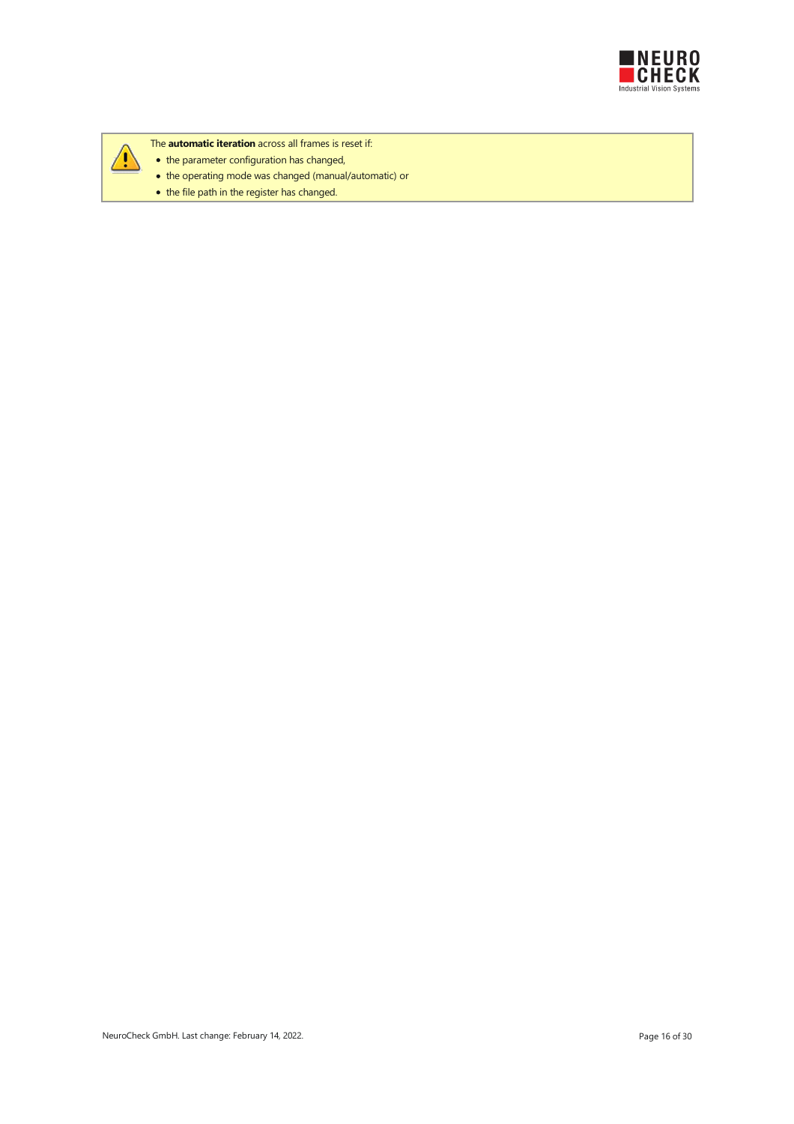



- The **automatic iteration** across all frames is reset if:
- the parameter configuration has changed,
- the operating mode was changed (manual/automatic) or
- $\bullet$  the file path in the register has changed.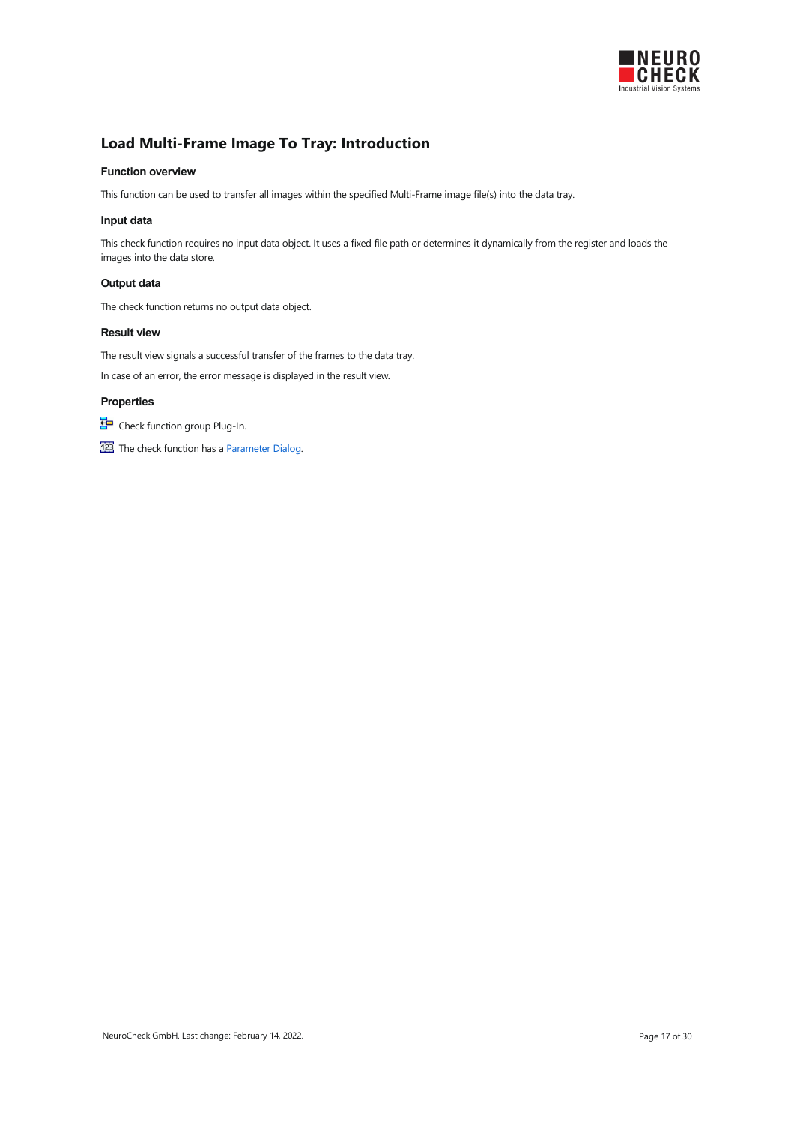

# <span id="page-16-0"></span>Load Multi-Frame Image To Tray: Introduction

#### Function overview

This function can be used to transfer all images within the specified Multi-Frame image file(s) into the data tray.

#### Input data

This check function requires no input data object. It uses a fixed file path or determines it dynamically from the register and loads the images into the data store.

#### Output data

The check function returns no output data object.

### Result view

The result view signals a successful transfer of the frames to the data tray.

In case of an error, the error message is displayed in the result view.

#### Properties

Check function group Plug-In.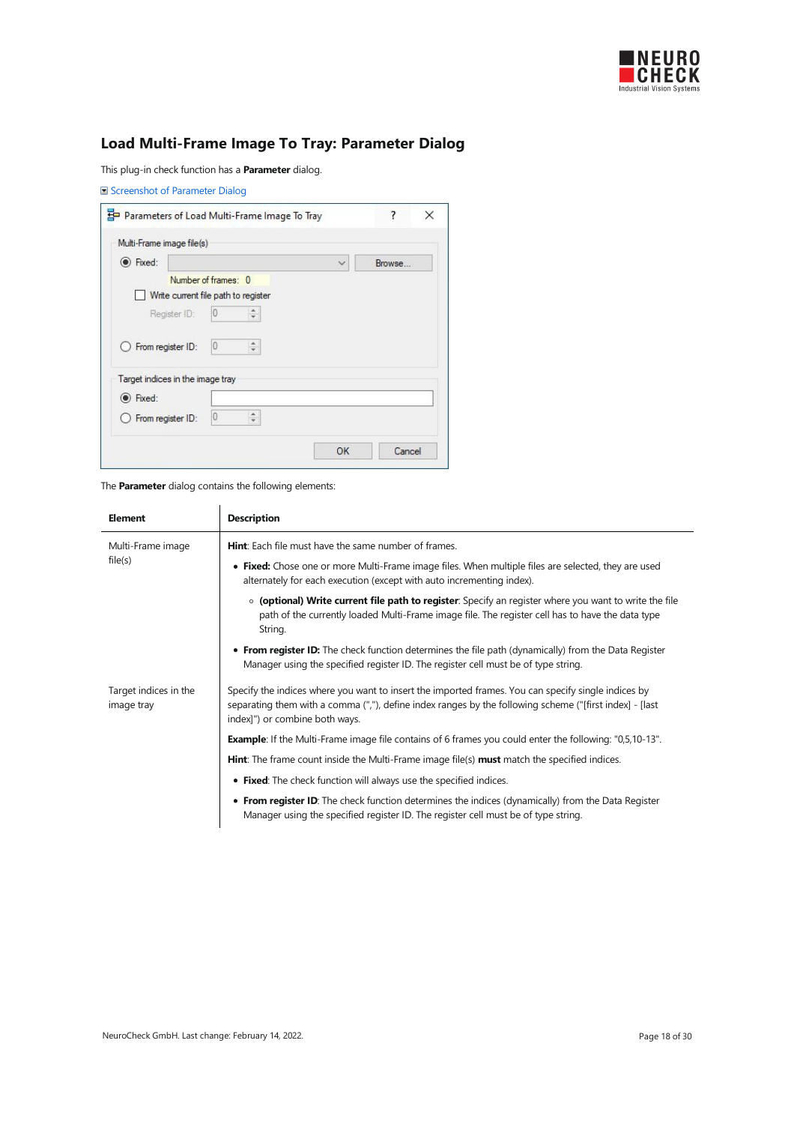

# <span id="page-17-0"></span>Load Multi-Frame Image To Tray: Parameter Dialog

This plug-in check function has a **Parameter** dialog.

|                                  | Parameters of Load Multi-Frame Image To Tray |              | ?<br>× |
|----------------------------------|----------------------------------------------|--------------|--------|
| Multi-Frame image file(s)        |                                              |              |        |
| le Fixed:                        |                                              | $\checkmark$ | Browse |
|                                  | Number of frames: 0                          |              |        |
|                                  | Write current file path to register          |              |        |
| Register ID:                     | 0                                            |              |        |
| $\bigcirc$ From register ID:     | 10<br>÷                                      |              |        |
| Target indices in the image tray |                                              |              |        |
| <b>O</b> Fixed:                  |                                              |              |        |
| ○ From register ID:              | 浜<br>O<br>$\overline{\phantom{a}}$           |              |        |
|                                  |                                              |              |        |

| <b>Element</b>                      | <b>Description</b>                                                                                                                                                                                                                               |
|-------------------------------------|--------------------------------------------------------------------------------------------------------------------------------------------------------------------------------------------------------------------------------------------------|
| Multi-Frame image                   | <b>Hint:</b> Each file must have the same number of frames.                                                                                                                                                                                      |
| file(s)                             | • Fixed: Chose one or more Multi-Frame image files. When multiple files are selected, they are used<br>alternately for each execution (except with auto incrementing index).                                                                     |
|                                     | ○ (optional) Write current file path to register: Specify an register where you want to write the file<br>path of the currently loaded Multi-Frame image file. The register cell has to have the data type<br>String.                            |
|                                     | • From register ID: The check function determines the file path (dynamically) from the Data Register<br>Manager using the specified register ID. The register cell must be of type string.                                                       |
| Target indices in the<br>image tray | Specify the indices where you want to insert the imported frames. You can specify single indices by<br>separating them with a comma (","), define index ranges by the following scheme ("[first index] - [last<br>index]") or combine both ways. |
|                                     | <b>Example</b> : If the Multi-Frame image file contains of 6 frames you could enter the following: "0,5,10-13".                                                                                                                                  |
|                                     | <b>Hint:</b> The frame count inside the Multi-Frame image file(s) <b>must</b> match the specified indices.                                                                                                                                       |
|                                     | • Fixed: The check function will always use the specified indices.                                                                                                                                                                               |
|                                     | • From register ID: The check function determines the indices (dynamically) from the Data Register<br>Manager using the specified register ID. The register cell must be of type string.                                                         |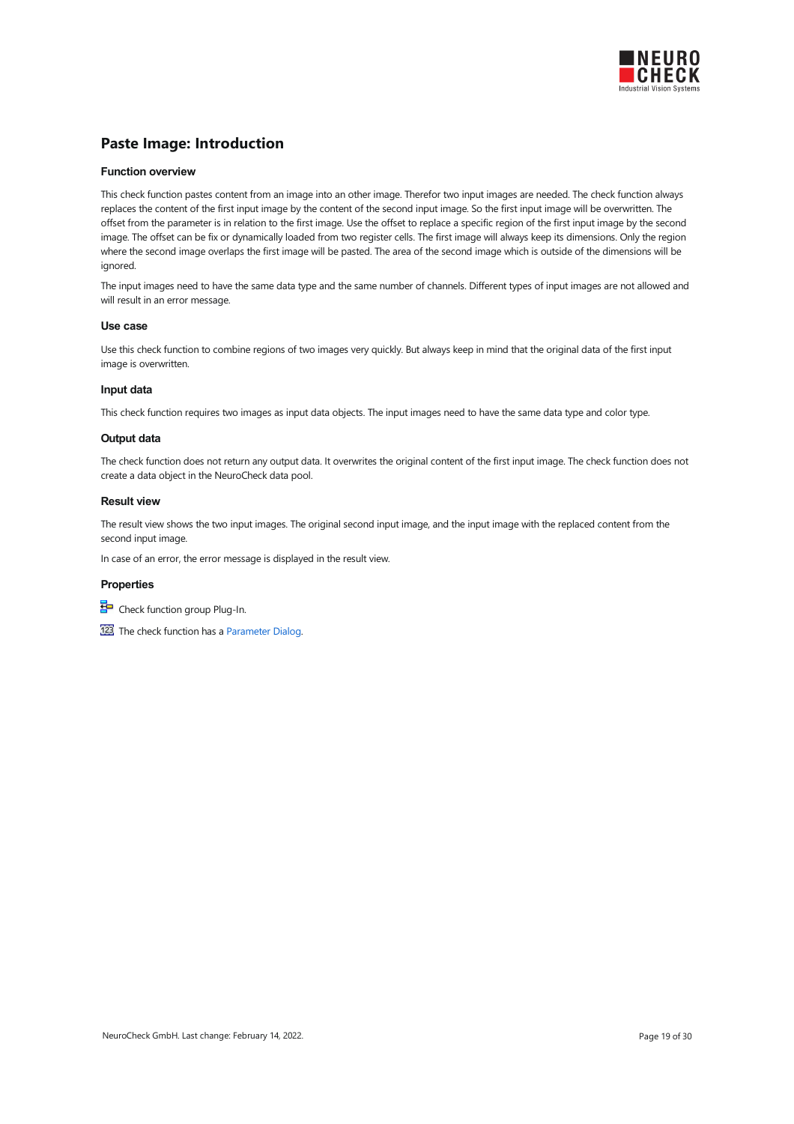

### <span id="page-18-0"></span>Paste Image: Introduction

#### Function overview

This check function pastes content from an image into an other image. Therefor two input images are needed. The check function always replaces the content of the first input image by the content of the second input image. So the first input image will be overwritten. The offset from the parameter is in relation to the first image. Use the offset to replace a specific region of the first input image by the second image. The offset can be fix or dynamically loaded from two register cells. The first image will always keep its dimensions. Only the region where the second image overlaps the first image will be pasted. The area of the second image which is outside of the dimensions will be ignored

The input images need to have the same data type and the same number of channels. Different types of input images are not allowed and will result in an error message.

#### Use case

Use this check function to combine regions of two images very quickly. But always keep in mind that the original data of the first input image is overwritten.

#### Input data

This check function requires two images as input data objects. The input images need to have the same data type and color type.

#### Output data

The check function does not return any output data. It overwrites the original content of the first input image. The check function does not create a data object in the NeuroCheck data pool.

#### Result view

The result view shows the two input images. The original second input image, and the input image with the replaced content from the second input image.

In case of an error, the error message is displayed in the result view.

#### **Properties**

Check function group Plug-In.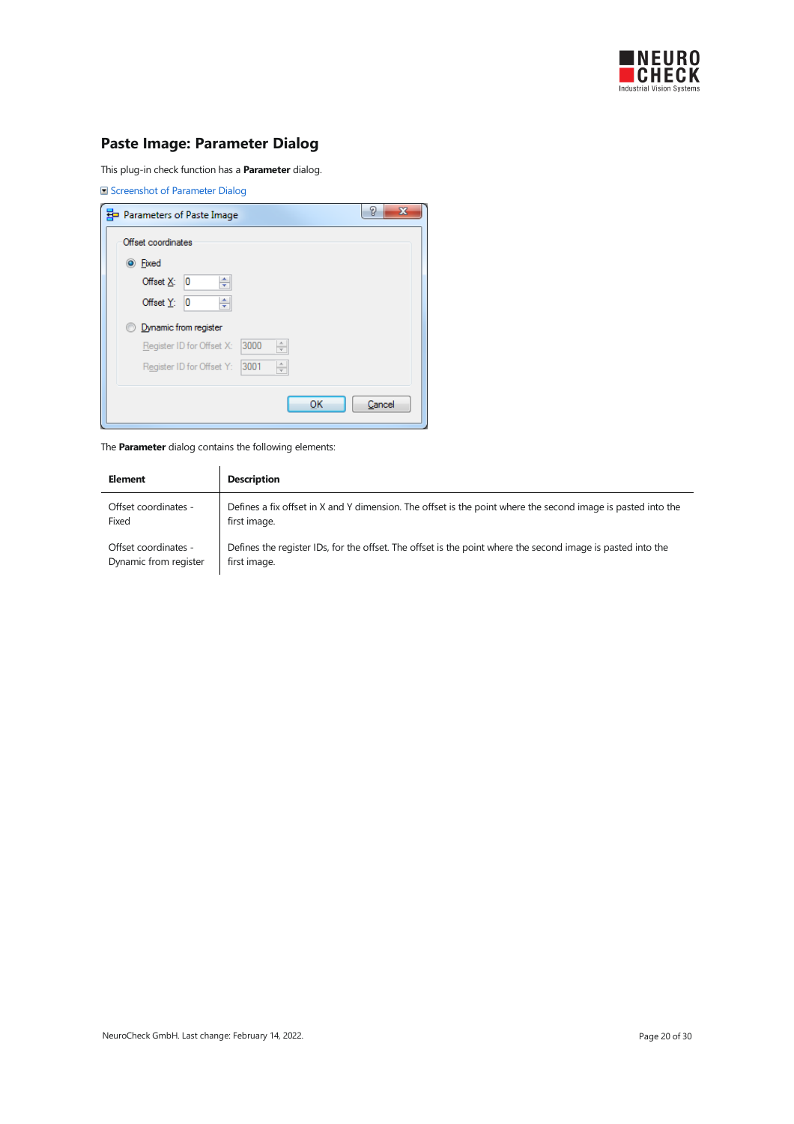

# <span id="page-19-0"></span>Paste Image: Parameter Dialog

This plug-in check function has a **Parameter** dialog.

| Screenshot of Parameter Dialog                                      |        |
|---------------------------------------------------------------------|--------|
| Parameters of Paste Image                                           | P<br>х |
| Offset coordinates                                                  |        |
| <b>O</b> Fixed                                                      |        |
| ÷<br>Offset X:<br>10                                                |        |
| ÷<br>10<br>Offset $Y$ :                                             |        |
| Dynamic from register                                               |        |
| 3000<br>$\frac{\triangle}{\tau}$<br>Register ID for Offset X:       |        |
| $\frac{\triangle}{\mathbf{v}}$<br>3001<br>Register ID for Offset Y: |        |
|                                                                     |        |
| ОК                                                                  | Cancel |

| Element               | <b>Description</b>                                                                                           |
|-----------------------|--------------------------------------------------------------------------------------------------------------|
| Offset coordinates -  | Defines a fix offset in X and Y dimension. The offset is the point where the second image is pasted into the |
| Fixed                 | first image.                                                                                                 |
| Offset coordinates -  | Defines the register IDs, for the offset. The offset is the point where the second image is pasted into the  |
| Dynamic from register | first image.                                                                                                 |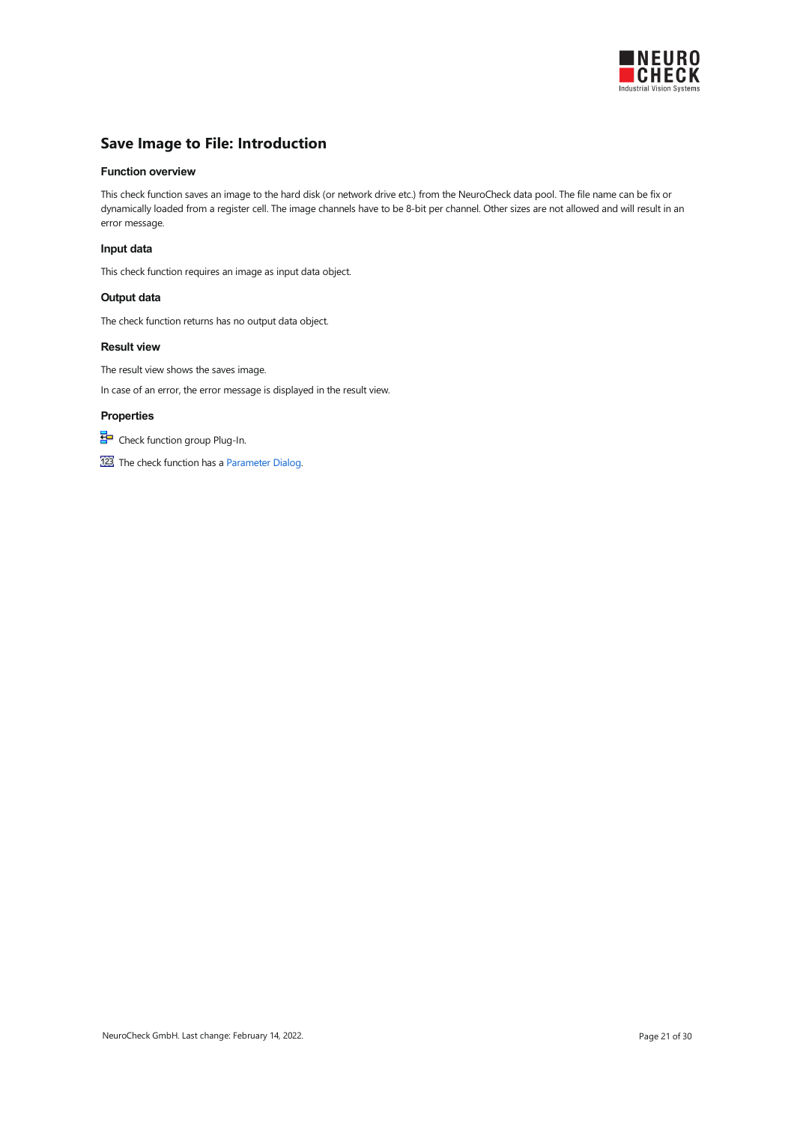

# <span id="page-20-0"></span>Save Image to File: Introduction

#### Function overview

This check function saves an image to the hard disk (or network drive etc.) from the NeuroCheck data pool. The file name can be fix or dynamically loaded from a register cell. The image channels have to be 8-bit per channel. Other sizes are not allowed and will result in an error message.

#### Input data

This check function requires an image as input data object.

#### Output data

The check function returns has no output data object.

#### Result view

The result view shows the saves image.

In case of an error, the error message is displayed in the result view.

### Properties

Check function group Plug-In.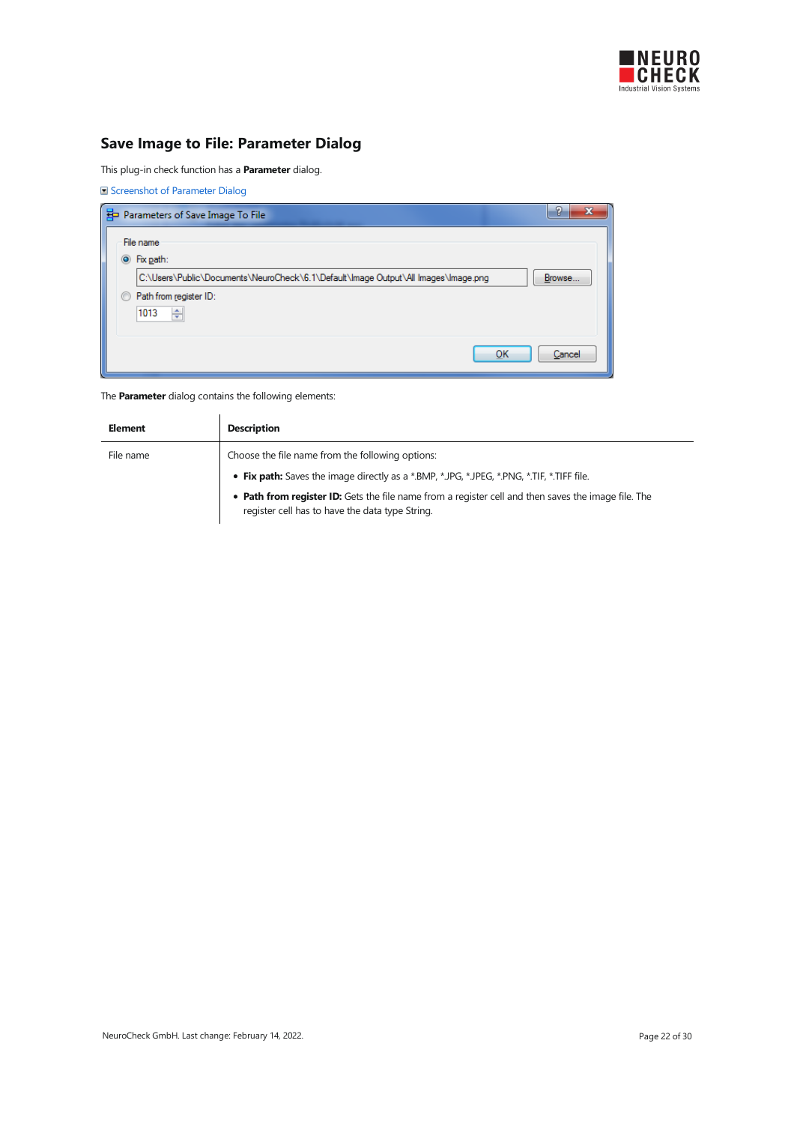

# <span id="page-21-0"></span>Save Image to File: Parameter Dialog

This plug-in check function has a **Parameter** dialog.

Screenshot of Parameter Dialog

|   | Parameters of Save Image To File                                                   | -      |
|---|------------------------------------------------------------------------------------|--------|
|   | File name                                                                          |        |
|   | $\odot$ Fix path:                                                                  |        |
|   | C:\Users\Public\Documents\NeuroCheck\6.1\Default\Image Output\All Images\Image.png | Browse |
| ⊙ | Path from register ID:                                                             |        |
|   | ÷<br>1013                                                                          |        |
|   |                                                                                    |        |
|   | ок                                                                                 | Cancel |
|   |                                                                                    |        |

| Element   | <b>Description</b>                                                                                                                                     |
|-----------|--------------------------------------------------------------------------------------------------------------------------------------------------------|
| File name | Choose the file name from the following options:                                                                                                       |
|           | • Fix path: Saves the image directly as a *.BMP, *.JPG, *.JPEG, *.PNG, *.TIF, *.TIFF file.                                                             |
|           | • Path from register ID: Gets the file name from a register cell and then saves the image file. The<br>register cell has to have the data type String. |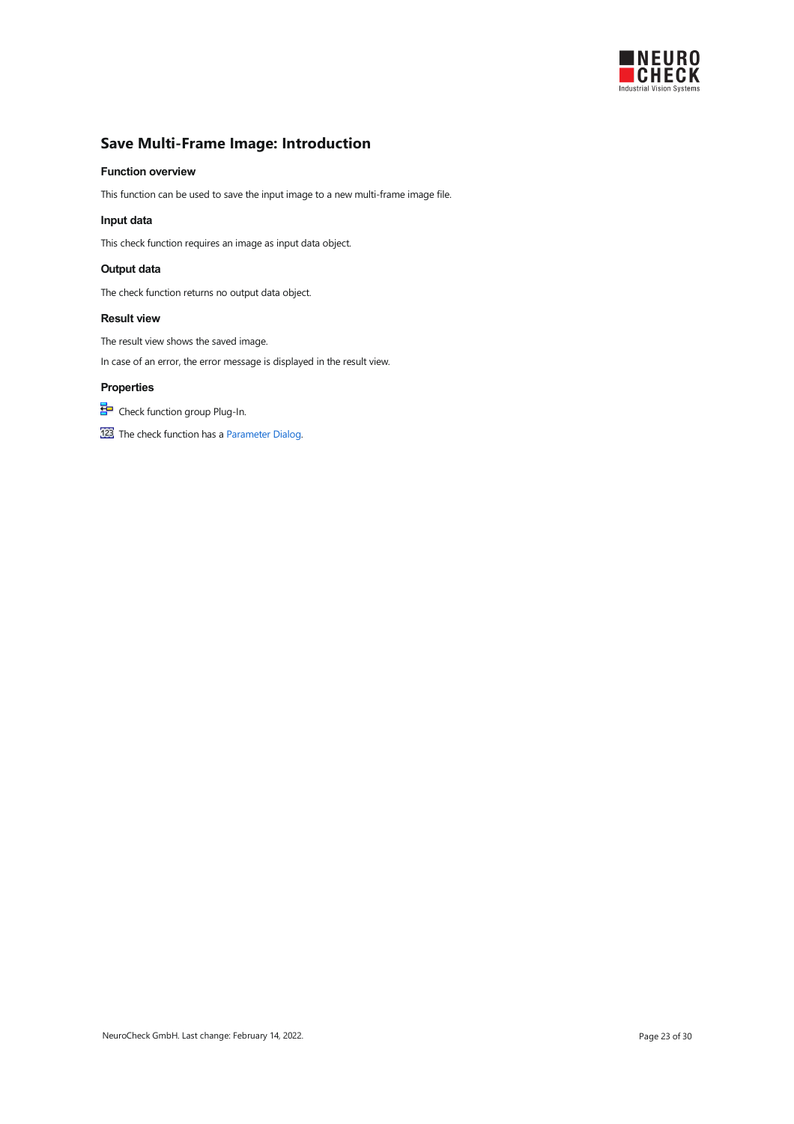

# <span id="page-22-0"></span>Save Multi-Frame Image: Introduction

#### Function overview

This function can be used to save the input image to a new multi-frame image file.

#### Input data

This check function requires an image as input data object.

#### Output data

The check function returns no output data object.

#### Result view

The result view shows the saved image.

In case of an error, the error message is displayed in the result view.

#### Properties

Check function group Plug-In.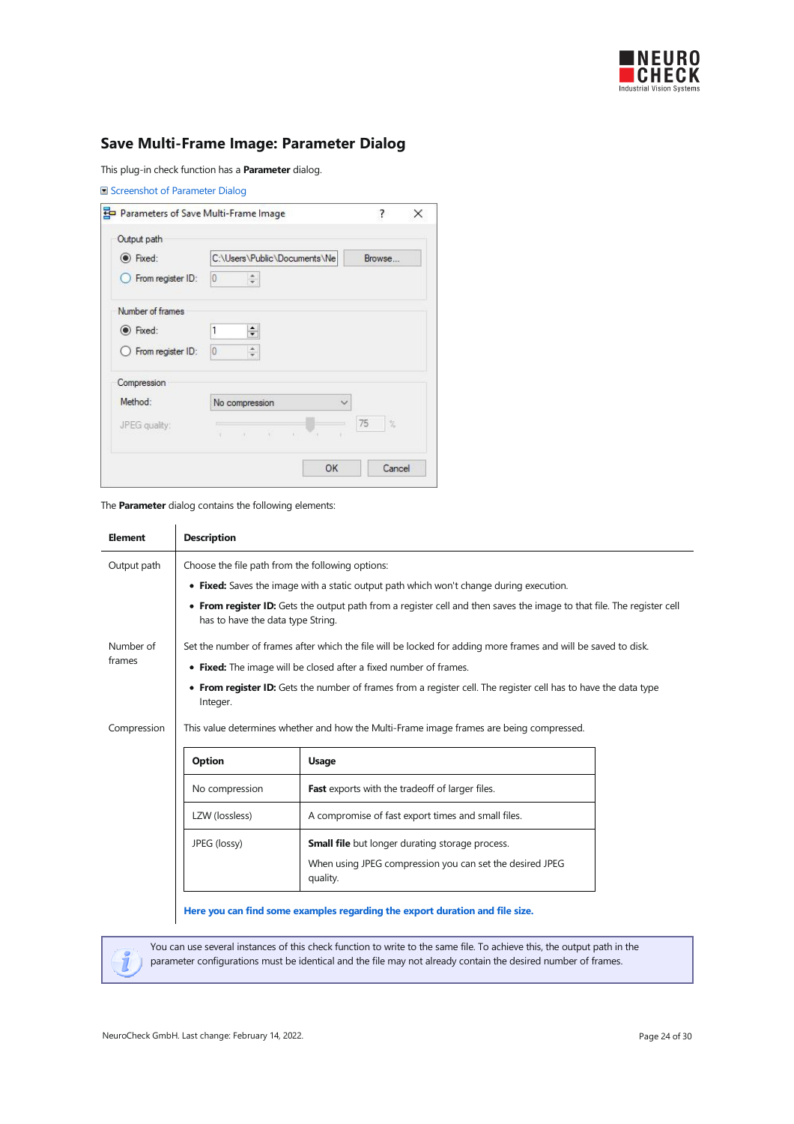

# <span id="page-23-0"></span>Save Multi-Frame Image: Parameter Dialog

This plug-in check function has a Parameter dialog.

| Parameters of Save Multi-Frame Image |                                                                                                                                                                                                                                                                                                                                                 | ?<br>$\times$ |
|--------------------------------------|-------------------------------------------------------------------------------------------------------------------------------------------------------------------------------------------------------------------------------------------------------------------------------------------------------------------------------------------------|---------------|
| Output path                          |                                                                                                                                                                                                                                                                                                                                                 |               |
| C Fixed:                             | C:\Users\Public\Documents\Ne                                                                                                                                                                                                                                                                                                                    | Browse        |
| From register ID:                    | 0<br>$\hat{z}$                                                                                                                                                                                                                                                                                                                                  |               |
| Number of frames                     |                                                                                                                                                                                                                                                                                                                                                 |               |
| (a) Fixed:                           | 1<br>$\div$                                                                                                                                                                                                                                                                                                                                     |               |
| ◯ From register ID:                  | $\theta$<br>۸<br>Ψ                                                                                                                                                                                                                                                                                                                              |               |
| Compression                          |                                                                                                                                                                                                                                                                                                                                                 |               |
| Method:                              | No compression<br>$\checkmark$                                                                                                                                                                                                                                                                                                                  |               |
| JPEG quality:                        | $\mathbf{r} = \left\langle \begin{array}{ccc} 0 & \cdots & 0 \\ 0 & 0 & \cdots \end{array} \right\rangle \quad \mathbf{r} = \left\langle \begin{array}{ccc} 0 & \cdots & 0 \\ 0 & 0 & \cdots \end{array} \right\rangle \quad \mathbf{r} = \left\langle \begin{array}{ccc} 0 & \cdots & 0 \\ 0 & 0 & \cdots \end{array} \right\rangle$<br>$\sim$ | 75<br>$\%$    |
|                                      | OK                                                                                                                                                                                                                                                                                                                                              | Cancel        |

The Parameter dialog contains the following elements:

| <b>Element</b> | <b>Description</b>                                                |                                                                                                                        |  |  |
|----------------|-------------------------------------------------------------------|------------------------------------------------------------------------------------------------------------------------|--|--|
| Output path    | Choose the file path from the following options:                  |                                                                                                                        |  |  |
|                |                                                                   | • Fixed: Saves the image with a static output path which won't change during execution.                                |  |  |
|                | has to have the data type String.                                 | • From register ID: Gets the output path from a register cell and then saves the image to that file. The register cell |  |  |
| Number of      |                                                                   | Set the number of frames after which the file will be locked for adding more frames and will be saved to disk.         |  |  |
| frames         | • Fixed: The image will be closed after a fixed number of frames. |                                                                                                                        |  |  |
|                | Integer.                                                          | • From register ID: Gets the number of frames from a register cell. The register cell has to have the data type        |  |  |
| Compression    |                                                                   | This value determines whether and how the Multi-Frame image frames are being compressed.                               |  |  |
|                | Option                                                            | <b>Usage</b>                                                                                                           |  |  |
|                | No compression                                                    | Fast exports with the tradeoff of larger files.                                                                        |  |  |
|                | LZW (lossless)                                                    | A compromise of fast export times and small files.                                                                     |  |  |
|                | JPEG (lossy)                                                      | <b>Small file</b> but longer durating storage process.                                                                 |  |  |
|                |                                                                   | When using JPEG compression you can set the desired JPEG<br>quality.                                                   |  |  |
|                |                                                                   | Here you can find some examples regarding the export duration and file size.                                           |  |  |

You can use several instances of this check function to write to the same file. To achieve this, the output path in the parameter configurations must be identical and the file may not already contain the desired number of frames.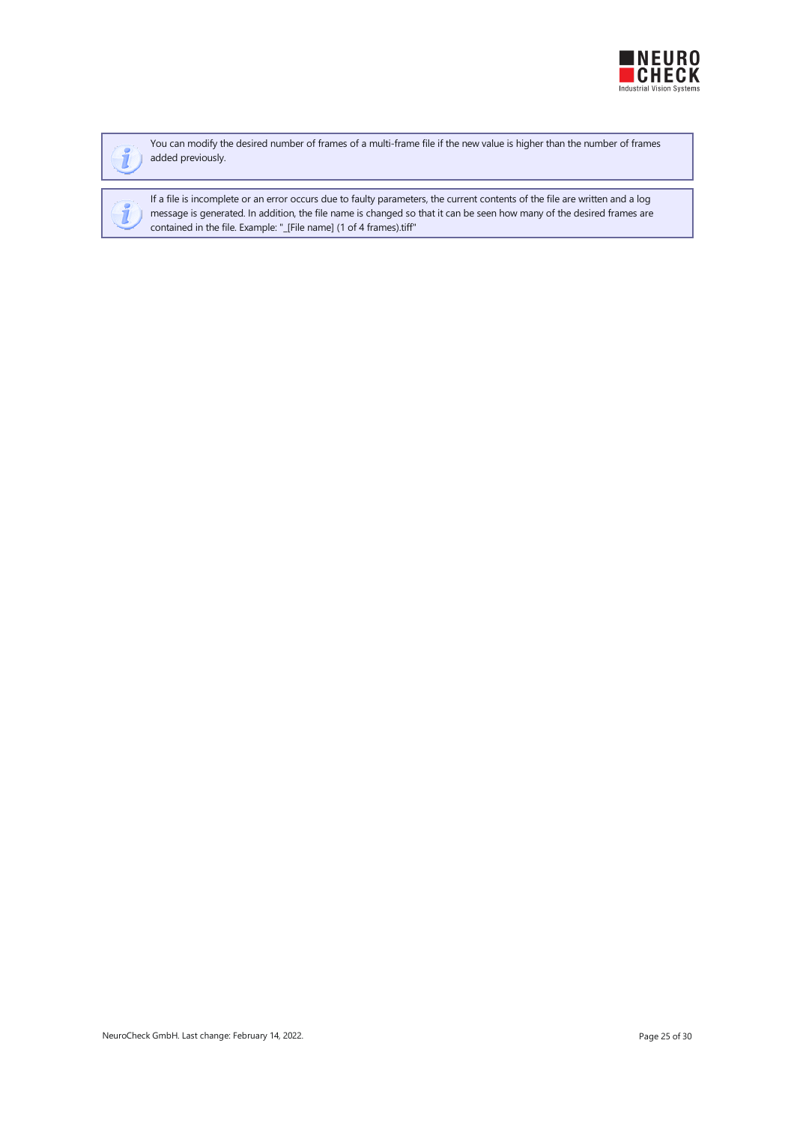



You can modify the desired number of frames of a multi-frame file if the new value is higher than the number of frames added previously.

If a file is incomplete or an error occurs due to faulty parameters, the current contents of the file are written and a log message is generated. In addition, the file name is changed so that it can be seen how many of the desired frames are contained in thefile.Example: "\_[File name] (1 of 4 frames).tiff"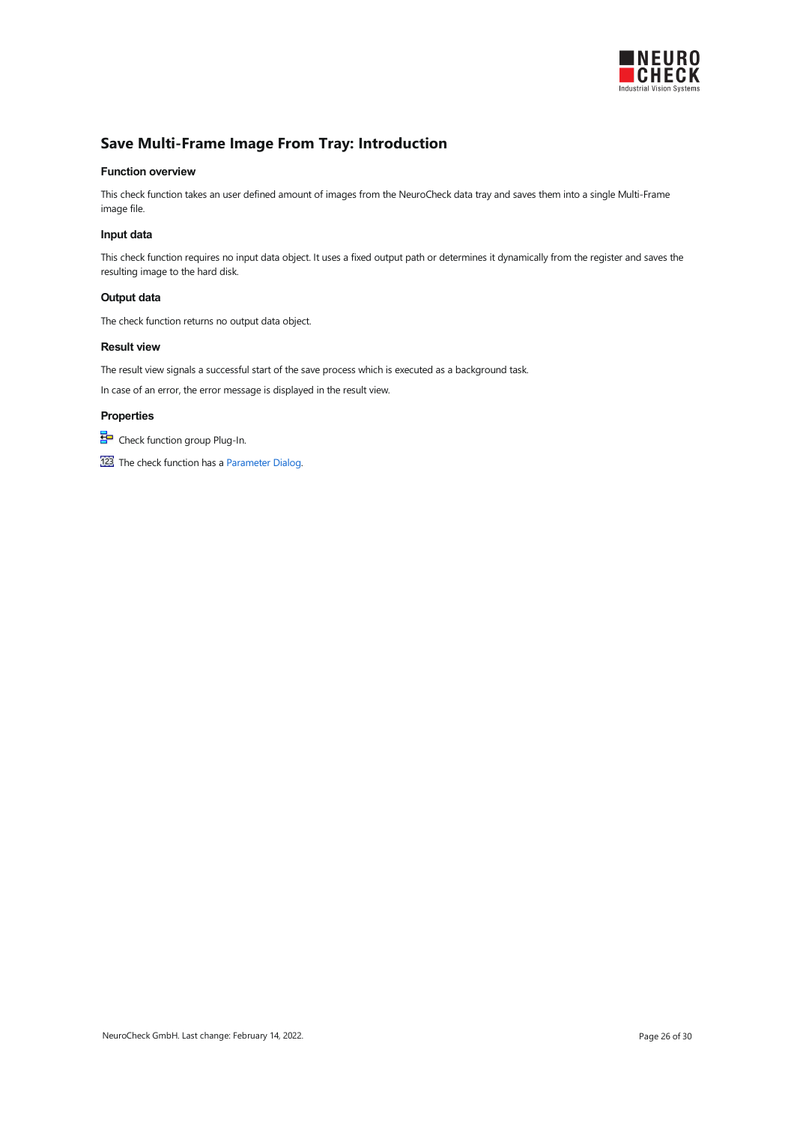

### <span id="page-25-0"></span>Save Multi-Frame Image From Tray: Introduction

#### Function overview

This check function takes an user defined amount of images from the NeuroCheck data tray and saves them into a single Multi-Frame image file.

#### Input data

This check function requires no input data object. It uses a fixed output path or determines it dynamically from the register and saves the resulting image to the hard disk.

#### Output data

The check function returns no output data object.

### Result view

The result view signals a successful start of the save process which is executed as a background task. In case of an error, the error message is displayed in the result view.

#### **Properties**

**ED** Check function group Plug-In.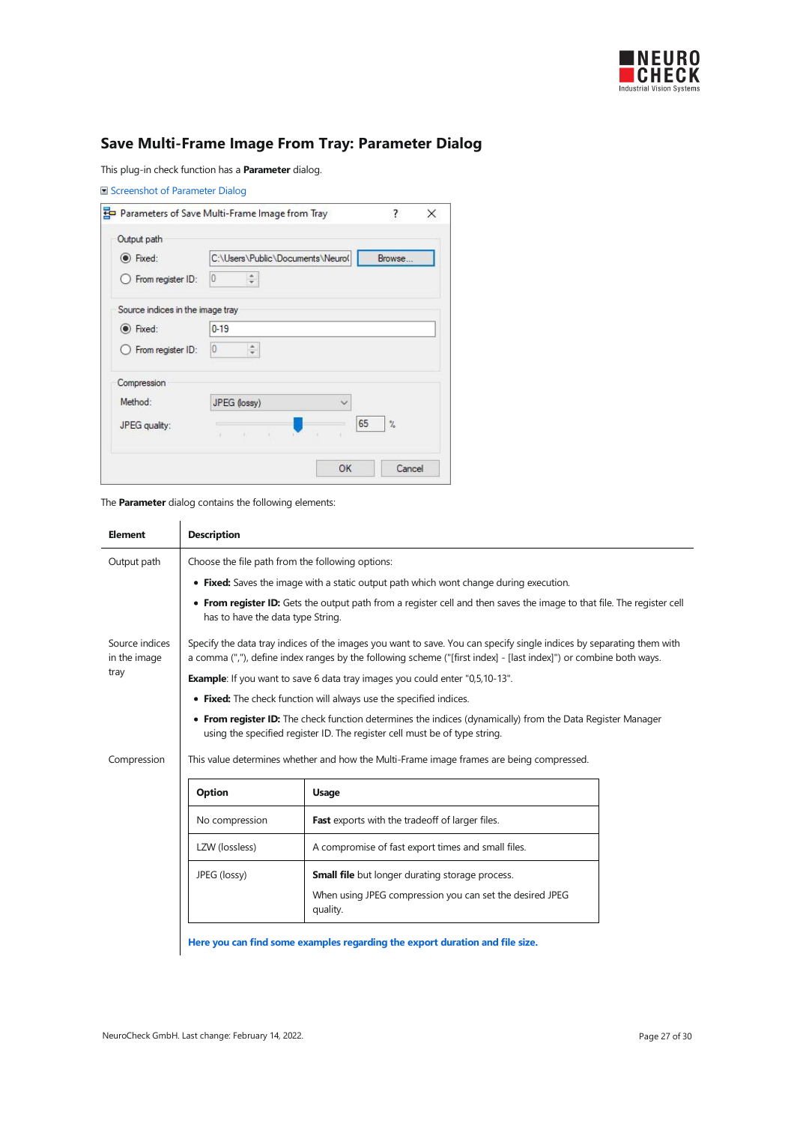

# <span id="page-26-0"></span>Save Multi-Frame Image From Tray: Parameter Dialog

This plug-in check function has a **Parameter** dialog.

|                                  | Parameters of Save Multi-Frame Image from Tray | ?<br>×               |
|----------------------------------|------------------------------------------------|----------------------|
| Output path                      |                                                |                      |
| le Fixed:                        | C:\Users\Public\Documents\Neuro(               | Browse               |
| From register ID:                | $\frac{1}{\pi}$<br>0                           |                      |
| Source indices in the image tray |                                                |                      |
| (a) Fixed:                       | $0 - 19$                                       |                      |
| From register ID:                | ak.<br>0                                       |                      |
| Compression                      |                                                |                      |
| Method:                          | JPEG (lossy)<br>▽                              |                      |
| JPEG quality:                    | 65<br>The control<br>¥                         | $\frac{2}{\sqrt{2}}$ |

The Parameter dialog contains the following elements:

| <b>Element</b>                 | <b>Description</b>                                                                                                                                                                       |                                                                                                                                                                                                                                           |  |  |
|--------------------------------|------------------------------------------------------------------------------------------------------------------------------------------------------------------------------------------|-------------------------------------------------------------------------------------------------------------------------------------------------------------------------------------------------------------------------------------------|--|--|
| Output path                    | Choose the file path from the following options:                                                                                                                                         |                                                                                                                                                                                                                                           |  |  |
|                                |                                                                                                                                                                                          | • Fixed: Saves the image with a static output path which wont change during execution.                                                                                                                                                    |  |  |
|                                | has to have the data type String.                                                                                                                                                        | • From register ID: Gets the output path from a register cell and then saves the image to that file. The register cell                                                                                                                    |  |  |
| Source indices<br>in the image |                                                                                                                                                                                          | Specify the data tray indices of the images you want to save. You can specify single indices by separating them with<br>a comma (","), define index ranges by the following scheme ("[first index] - [last index]") or combine both ways. |  |  |
| tray<br>Compression            | <b>Example:</b> If you want to save 6 data tray images you could enter "0,5,10-13".                                                                                                      |                                                                                                                                                                                                                                           |  |  |
|                                | • Fixed: The check function will always use the specified indices.                                                                                                                       |                                                                                                                                                                                                                                           |  |  |
|                                | • From register ID: The check function determines the indices (dynamically) from the Data Register Manager<br>using the specified register ID. The register cell must be of type string. |                                                                                                                                                                                                                                           |  |  |
|                                | This value determines whether and how the Multi-Frame image frames are being compressed.                                                                                                 |                                                                                                                                                                                                                                           |  |  |
|                                | Option                                                                                                                                                                                   | <b>Usage</b>                                                                                                                                                                                                                              |  |  |
|                                | No compression                                                                                                                                                                           | Fast exports with the tradeoff of larger files.                                                                                                                                                                                           |  |  |
|                                | LZW (lossless)                                                                                                                                                                           | A compromise of fast export times and small files.                                                                                                                                                                                        |  |  |
|                                | JPEG (lossy)                                                                                                                                                                             | <b>Small file</b> but longer durating storage process.                                                                                                                                                                                    |  |  |
|                                |                                                                                                                                                                                          | When using JPEG compression you can set the desired JPEG<br>quality.                                                                                                                                                                      |  |  |
|                                |                                                                                                                                                                                          | find come exemples reporting the expect direction and file sine                                                                                                                                                                           |  |  |

Here you can find some examples [regarding](#page-4-1) the export duration and file size.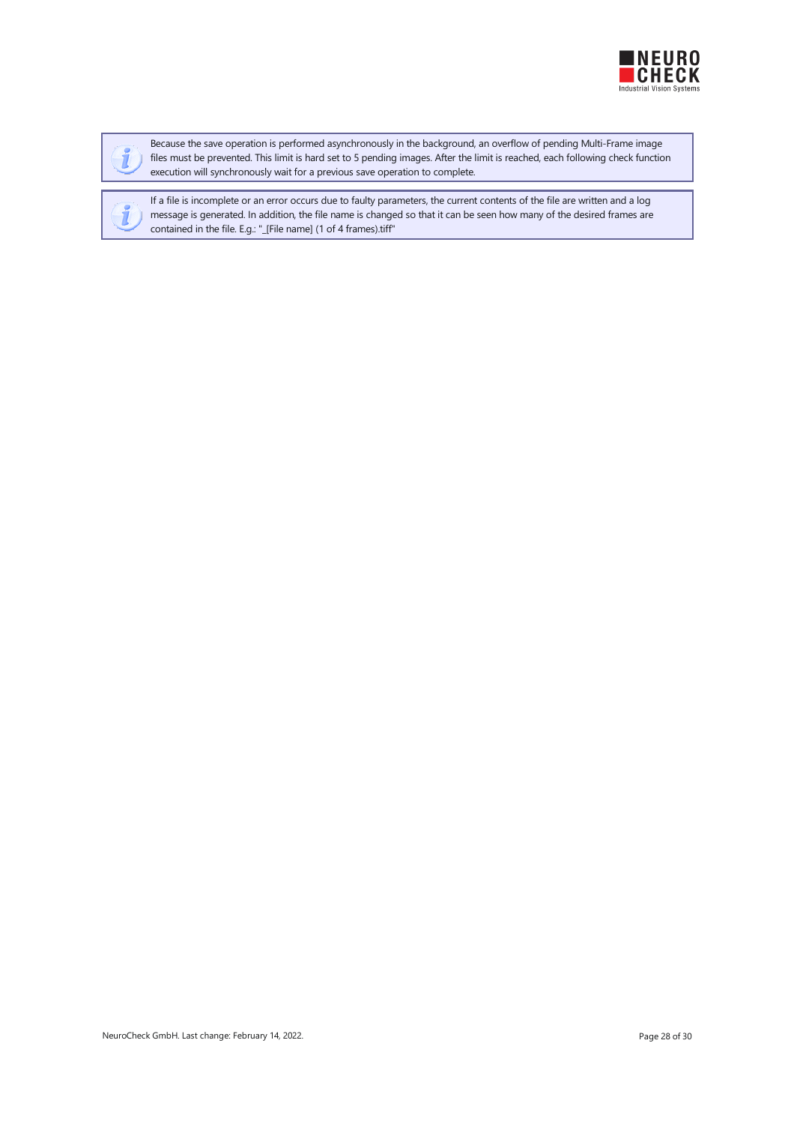



Because the save operation is performed asynchronously in the background, an overflow of pending Multi-Frame image files must be prevented. This limit is hard set to 5 pending images. After the limit is reached, each following check function execution will synchronously wait for a previous save operation to complete.

If a file is incomplete or an error occurs due to faulty parameters, the current contents of the file are written and a log message is generated. In addition, the file name is changed so that it can be seen how many of the desired frames are contained in the file. E.g.: "\_[File name] (1 of 4 frames).tiff"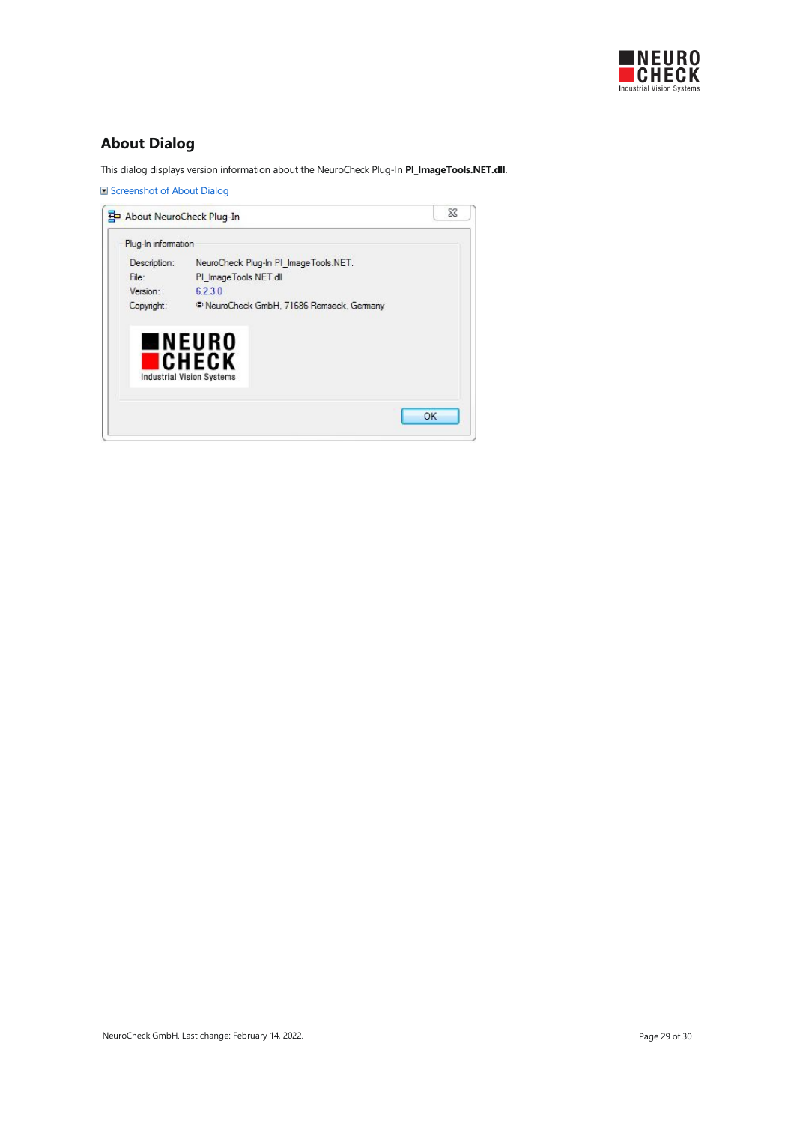

# <span id="page-28-0"></span>About Dialog

This dialog displays version information about the NeuroCheck Plug-In PI\_ImageTools.NET.dll.

Screenshot of About Dialog

| Plug-In information |                                                      |
|---------------------|------------------------------------------------------|
| Description:        | NeuroCheck Plug-In PI ImageTools.NET.                |
| File:               | PI_ImageTools.NET.dll                                |
| Version:            | 6.2.3.0                                              |
| Copyright:          | <sup>©</sup> NeuroCheck GmbH, 71686 Remseck, Germany |
|                     | ∎NEURO<br><b>ICHECK</b>                              |